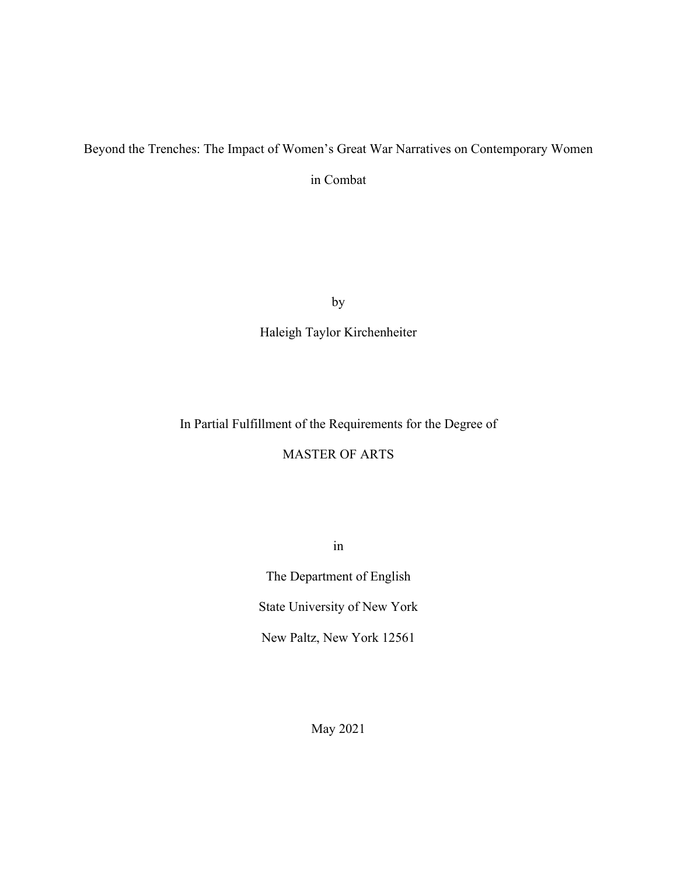# Beyond the Trenches: The Impact of Women's Great War Narratives on Contemporary Women

in Combat

by

Haleigh Taylor Kirchenheiter

In Partial Fulfillment of the Requirements for the Degree of

MASTER OF ARTS

in

The Department of English State University of New York

New Paltz, New York 12561

May 2021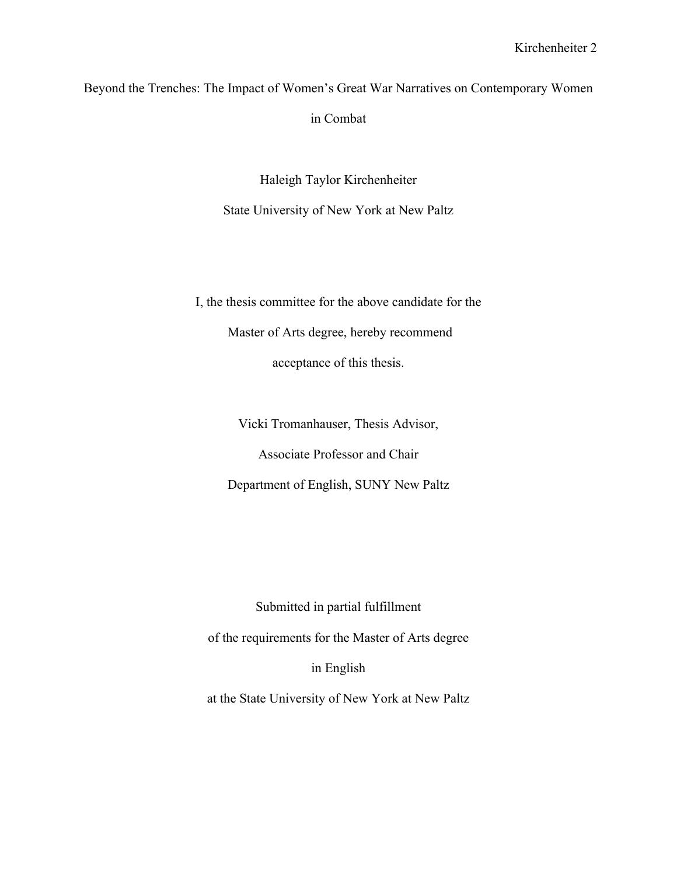Beyond the Trenches: The Impact of Women's Great War Narratives on Contemporary Women in Combat

> Haleigh Taylor Kirchenheiter State University of New York at New Paltz

I, the thesis committee for the above candidate for the Master of Arts degree, hereby recommend acceptance of this thesis.

Vicki Tromanhauser, Thesis Advisor,

Associate Professor and Chair

Department of English, SUNY New Paltz

Submitted in partial fulfillment

of the requirements for the Master of Arts degree

in English

at the State University of New York at New Paltz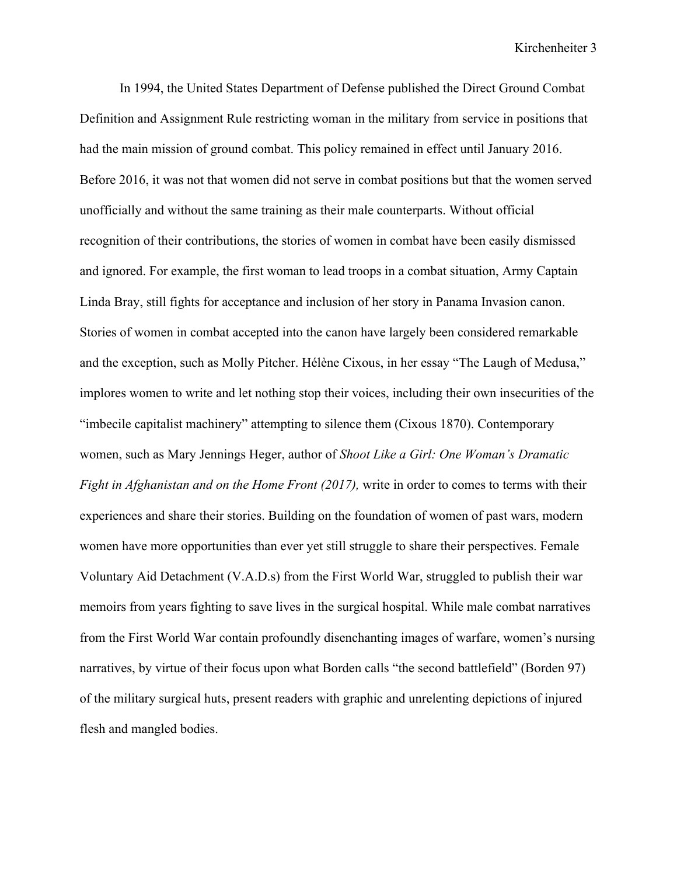In 1994, the United States Department of Defense published the Direct Ground Combat Definition and Assignment Rule restricting woman in the military from service in positions that had the main mission of ground combat. This policy remained in effect until January 2016. Before 2016, it was not that women did not serve in combat positions but that the women served unofficially and without the same training as their male counterparts. Without official recognition of their contributions, the stories of women in combat have been easily dismissed and ignored. For example, the first woman to lead troops in a combat situation, Army Captain Linda Bray, still fights for acceptance and inclusion of her story in Panama Invasion canon. Stories of women in combat accepted into the canon have largely been considered remarkable and the exception, such as Molly Pitcher. Hélène Cixous, in her essay "The Laugh of Medusa," implores women to write and let nothing stop their voices, including their own insecurities of the "imbecile capitalist machinery" attempting to silence them (Cixous 1870). Contemporary women, such as Mary Jennings Heger, author of *Shoot Like a Girl: One Woman's Dramatic Fight in Afghanistan and on the Home Front (2017),* write in order to comes to terms with their experiences and share their stories. Building on the foundation of women of past wars, modern women have more opportunities than ever yet still struggle to share their perspectives. Female Voluntary Aid Detachment (V.A.D.s) from the First World War, struggled to publish their war memoirs from years fighting to save lives in the surgical hospital. While male combat narratives from the First World War contain profoundly disenchanting images of warfare, women's nursing narratives, by virtue of their focus upon what Borden calls "the second battlefield" (Borden 97) of the military surgical huts, present readers with graphic and unrelenting depictions of injured flesh and mangled bodies.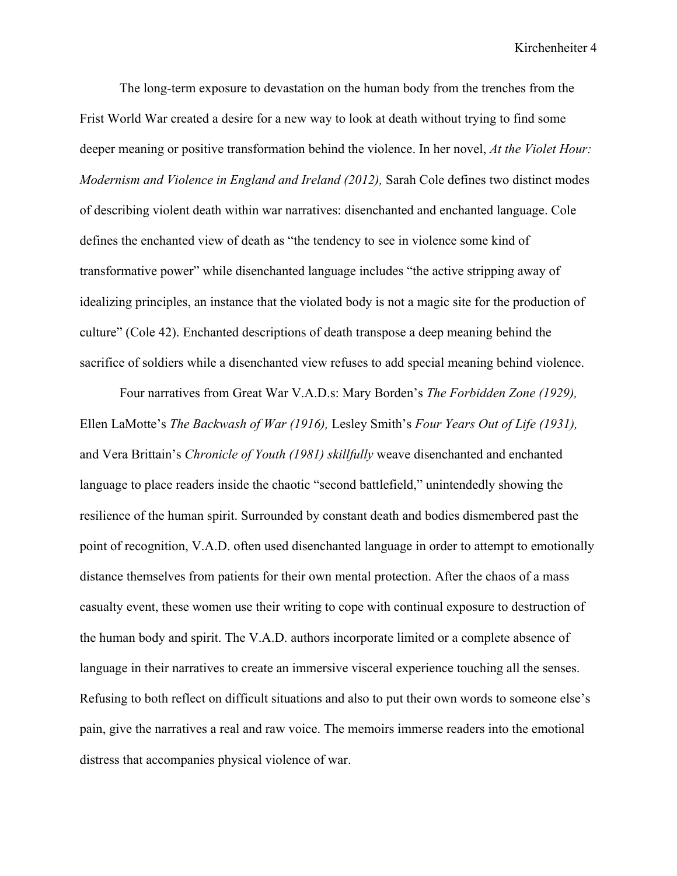The long-term exposure to devastation on the human body from the trenches from the Frist World War created a desire for a new way to look at death without trying to find some deeper meaning or positive transformation behind the violence. In her novel, *At the Violet Hour: Modernism and Violence in England and Ireland (2012),* Sarah Cole defines two distinct modes of describing violent death within war narratives: disenchanted and enchanted language. Cole defines the enchanted view of death as "the tendency to see in violence some kind of transformative power" while disenchanted language includes "the active stripping away of idealizing principles, an instance that the violated body is not a magic site for the production of culture" (Cole 42). Enchanted descriptions of death transpose a deep meaning behind the sacrifice of soldiers while a disenchanted view refuses to add special meaning behind violence.

Four narratives from Great War V.A.D.s: Mary Borden's *The Forbidden Zone (1929),*  Ellen LaMotte's *The Backwash of War (1916),* Lesley Smith's *Four Years Out of Life (1931),*  and Vera Brittain's *Chronicle of Youth (1981) skillfully* weave disenchanted and enchanted language to place readers inside the chaotic "second battlefield," unintendedly showing the resilience of the human spirit. Surrounded by constant death and bodies dismembered past the point of recognition, V.A.D. often used disenchanted language in order to attempt to emotionally distance themselves from patients for their own mental protection. After the chaos of a mass casualty event, these women use their writing to cope with continual exposure to destruction of the human body and spirit. The V.A.D. authors incorporate limited or a complete absence of language in their narratives to create an immersive visceral experience touching all the senses. Refusing to both reflect on difficult situations and also to put their own words to someone else's pain, give the narratives a real and raw voice. The memoirs immerse readers into the emotional distress that accompanies physical violence of war.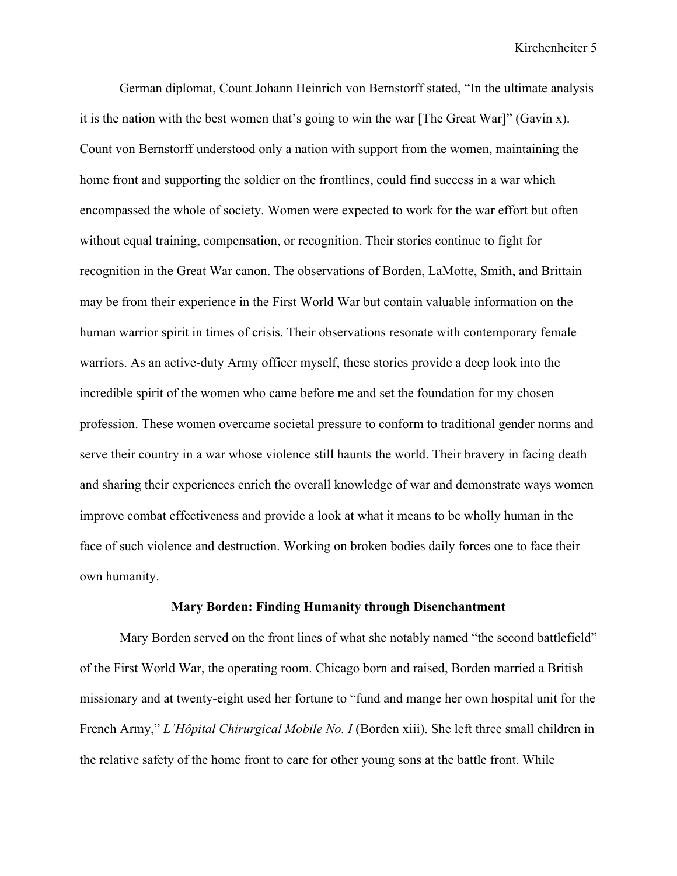German diplomat, Count Johann Heinrich von Bernstorff stated, "In the ultimate analysis it is the nation with the best women that's going to win the war [The Great War]" (Gavin x). Count von Bernstorff understood only a nation with support from the women, maintaining the home front and supporting the soldier on the frontlines, could find success in a war which encompassed the whole of society. Women were expected to work for the war effort but often without equal training, compensation, or recognition. Their stories continue to fight for recognition in the Great War canon. The observations of Borden, LaMotte, Smith, and Brittain may be from their experience in the First World War but contain valuable information on the human warrior spirit in times of crisis. Their observations resonate with contemporary female warriors. As an active-duty Army officer myself, these stories provide a deep look into the incredible spirit of the women who came before me and set the foundation for my chosen profession. These women overcame societal pressure to conform to traditional gender norms and serve their country in a war whose violence still haunts the world. Their bravery in facing death and sharing their experiences enrich the overall knowledge of war and demonstrate ways women improve combat effectiveness and provide a look at what it means to be wholly human in the face of such violence and destruction. Working on broken bodies daily forces one to face their own humanity.

## **Mary Borden: Finding Humanity through Disenchantment**

Mary Borden served on the front lines of what she notably named "the second battlefield" of the First World War, the operating room. Chicago born and raised, Borden married a British missionary and at twenty-eight used her fortune to "fund and mange her own hospital unit for the French Army," *L'Hôpital Chirurgical Mobile No. I* (Borden xiii). She left three small children in the relative safety of the home front to care for other young sons at the battle front. While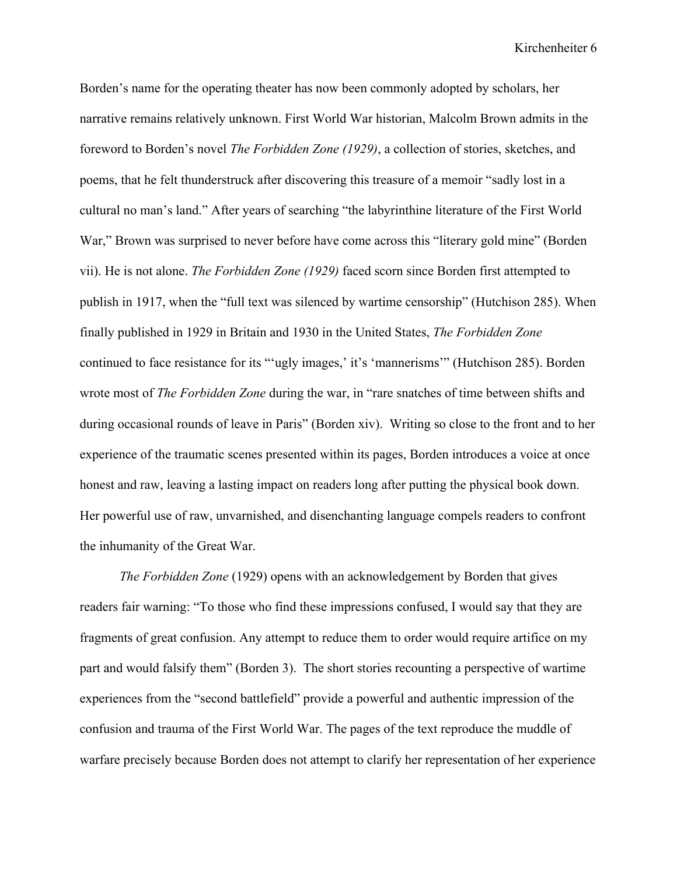Borden's name for the operating theater has now been commonly adopted by scholars, her narrative remains relatively unknown. First World War historian, Malcolm Brown admits in the foreword to Borden's novel *The Forbidden Zone (1929)*, a collection of stories, sketches, and poems, that he felt thunderstruck after discovering this treasure of a memoir "sadly lost in a cultural no man's land." After years of searching "the labyrinthine literature of the First World War," Brown was surprised to never before have come across this "literary gold mine" (Borden vii). He is not alone. *The Forbidden Zone (1929)* faced scorn since Borden first attempted to publish in 1917, when the "full text was silenced by wartime censorship" (Hutchison 285). When finally published in 1929 in Britain and 1930 in the United States, *The Forbidden Zone*  continued to face resistance for its "'ugly images,' it's 'mannerisms'" (Hutchison 285). Borden wrote most of *The Forbidden Zone* during the war, in "rare snatches of time between shifts and during occasional rounds of leave in Paris" (Borden xiv). Writing so close to the front and to her experience of the traumatic scenes presented within its pages, Borden introduces a voice at once honest and raw, leaving a lasting impact on readers long after putting the physical book down. Her powerful use of raw, unvarnished, and disenchanting language compels readers to confront the inhumanity of the Great War.

*The Forbidden Zone* (1929) opens with an acknowledgement by Borden that gives readers fair warning: "To those who find these impressions confused, I would say that they are fragments of great confusion. Any attempt to reduce them to order would require artifice on my part and would falsify them" (Borden 3). The short stories recounting a perspective of wartime experiences from the "second battlefield" provide a powerful and authentic impression of the confusion and trauma of the First World War. The pages of the text reproduce the muddle of warfare precisely because Borden does not attempt to clarify her representation of her experience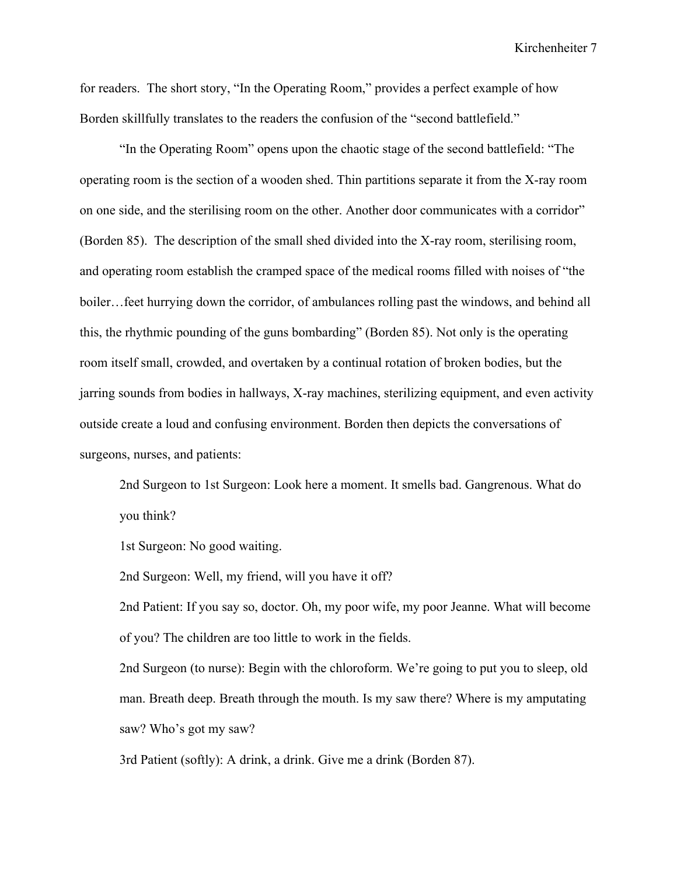for readers. The short story, "In the Operating Room," provides a perfect example of how Borden skillfully translates to the readers the confusion of the "second battlefield."

"In the Operating Room" opens upon the chaotic stage of the second battlefield: "The operating room is the section of a wooden shed. Thin partitions separate it from the X-ray room on one side, and the sterilising room on the other. Another door communicates with a corridor" (Borden 85). The description of the small shed divided into the X-ray room, sterilising room, and operating room establish the cramped space of the medical rooms filled with noises of "the boiler…feet hurrying down the corridor, of ambulances rolling past the windows, and behind all this, the rhythmic pounding of the guns bombarding" (Borden 85). Not only is the operating room itself small, crowded, and overtaken by a continual rotation of broken bodies, but the jarring sounds from bodies in hallways, X-ray machines, sterilizing equipment, and even activity outside create a loud and confusing environment. Borden then depicts the conversations of surgeons, nurses, and patients:

2nd Surgeon to 1st Surgeon: Look here a moment. It smells bad. Gangrenous. What do you think?

1st Surgeon: No good waiting.

2nd Surgeon: Well, my friend, will you have it off?

2nd Patient: If you say so, doctor. Oh, my poor wife, my poor Jeanne. What will become of you? The children are too little to work in the fields.

2nd Surgeon (to nurse): Begin with the chloroform. We're going to put you to sleep, old man. Breath deep. Breath through the mouth. Is my saw there? Where is my amputating saw? Who's got my saw?

3rd Patient (softly): A drink, a drink. Give me a drink (Borden 87).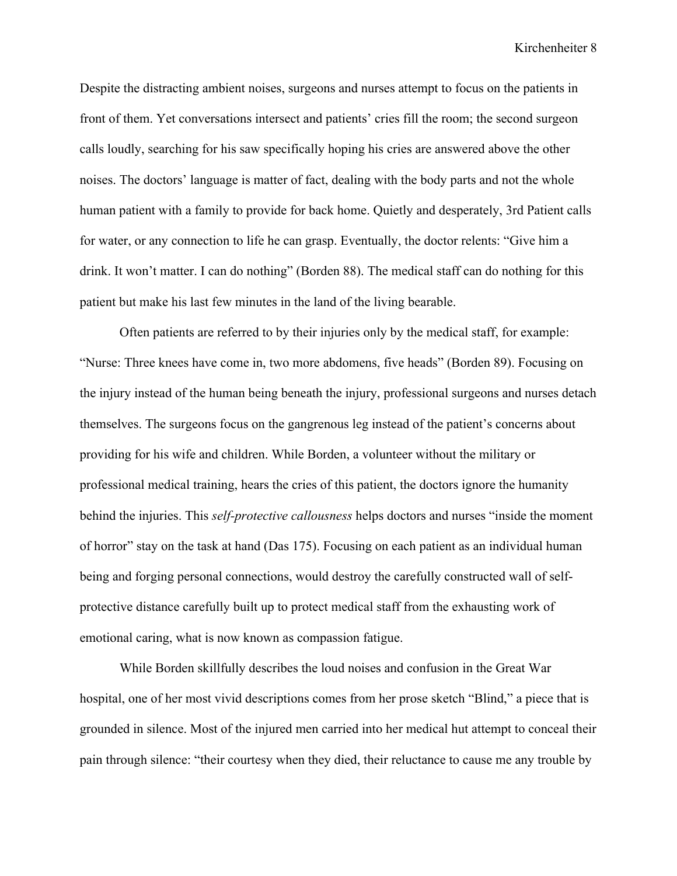Despite the distracting ambient noises, surgeons and nurses attempt to focus on the patients in front of them. Yet conversations intersect and patients' cries fill the room; the second surgeon calls loudly, searching for his saw specifically hoping his cries are answered above the other noises. The doctors' language is matter of fact, dealing with the body parts and not the whole human patient with a family to provide for back home. Quietly and desperately, 3rd Patient calls for water, or any connection to life he can grasp. Eventually, the doctor relents: "Give him a drink. It won't matter. I can do nothing" (Borden 88). The medical staff can do nothing for this patient but make his last few minutes in the land of the living bearable.

Often patients are referred to by their injuries only by the medical staff, for example: "Nurse: Three knees have come in, two more abdomens, five heads" (Borden 89). Focusing on the injury instead of the human being beneath the injury, professional surgeons and nurses detach themselves. The surgeons focus on the gangrenous leg instead of the patient's concerns about providing for his wife and children. While Borden, a volunteer without the military or professional medical training, hears the cries of this patient, the doctors ignore the humanity behind the injuries. This *self-protective callousness* helps doctors and nurses "inside the moment of horror" stay on the task at hand (Das 175). Focusing on each patient as an individual human being and forging personal connections, would destroy the carefully constructed wall of selfprotective distance carefully built up to protect medical staff from the exhausting work of emotional caring, what is now known as compassion fatigue.

While Borden skillfully describes the loud noises and confusion in the Great War hospital, one of her most vivid descriptions comes from her prose sketch "Blind," a piece that is grounded in silence. Most of the injured men carried into her medical hut attempt to conceal their pain through silence: "their courtesy when they died, their reluctance to cause me any trouble by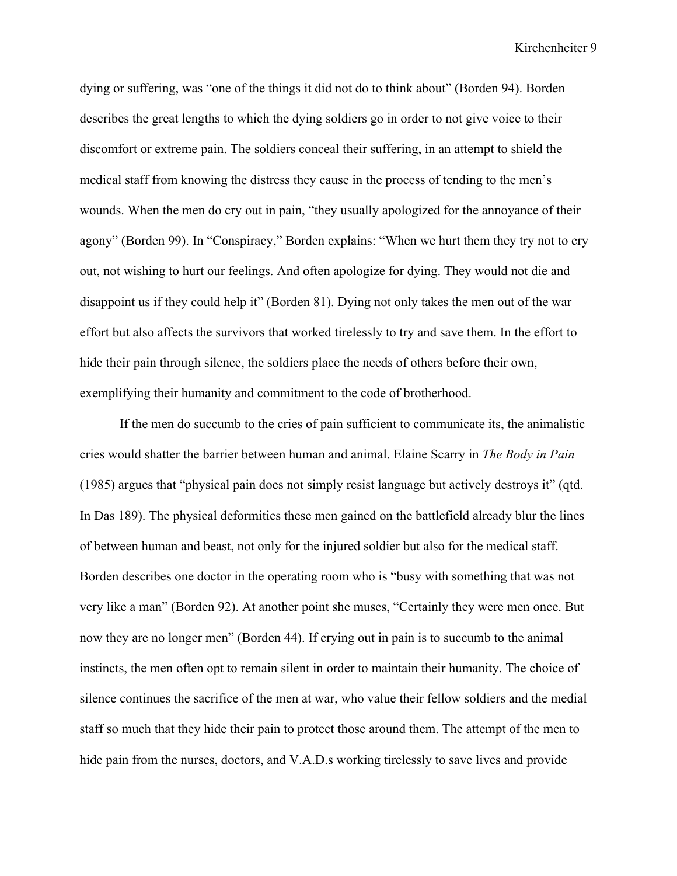dying or suffering, was "one of the things it did not do to think about" (Borden 94). Borden describes the great lengths to which the dying soldiers go in order to not give voice to their discomfort or extreme pain. The soldiers conceal their suffering, in an attempt to shield the medical staff from knowing the distress they cause in the process of tending to the men's wounds. When the men do cry out in pain, "they usually apologized for the annoyance of their agony" (Borden 99). In "Conspiracy," Borden explains: "When we hurt them they try not to cry out, not wishing to hurt our feelings. And often apologize for dying. They would not die and disappoint us if they could help it" (Borden 81). Dying not only takes the men out of the war effort but also affects the survivors that worked tirelessly to try and save them. In the effort to hide their pain through silence, the soldiers place the needs of others before their own, exemplifying their humanity and commitment to the code of brotherhood.

If the men do succumb to the cries of pain sufficient to communicate its, the animalistic cries would shatter the barrier between human and animal. Elaine Scarry in *The Body in Pain*  (1985) argues that "physical pain does not simply resist language but actively destroys it" (qtd. In Das 189). The physical deformities these men gained on the battlefield already blur the lines of between human and beast, not only for the injured soldier but also for the medical staff. Borden describes one doctor in the operating room who is "busy with something that was not very like a man" (Borden 92). At another point she muses, "Certainly they were men once. But now they are no longer men" (Borden 44). If crying out in pain is to succumb to the animal instincts, the men often opt to remain silent in order to maintain their humanity. The choice of silence continues the sacrifice of the men at war, who value their fellow soldiers and the medial staff so much that they hide their pain to protect those around them. The attempt of the men to hide pain from the nurses, doctors, and V.A.D.s working tirelessly to save lives and provide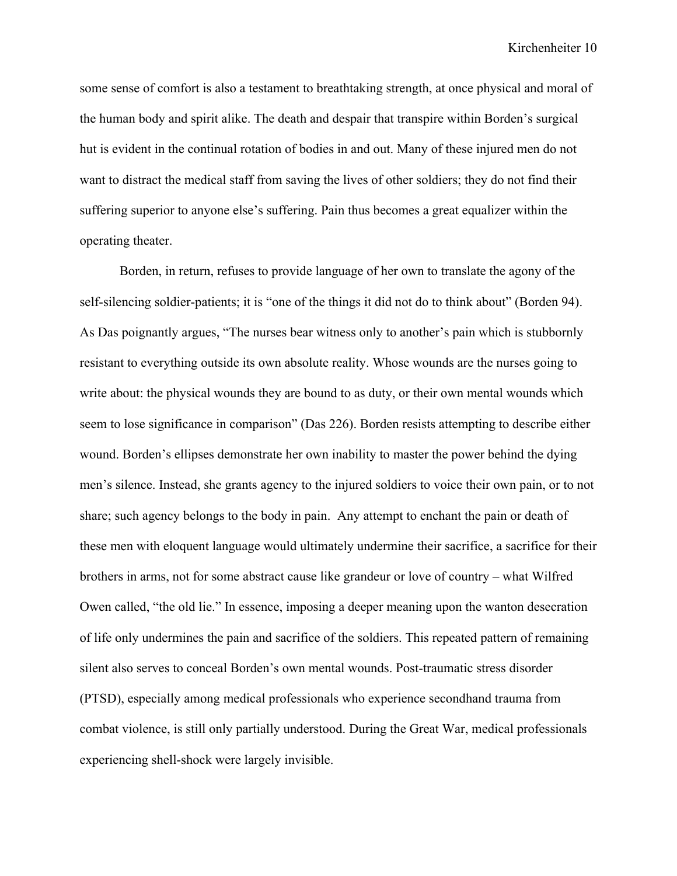some sense of comfort is also a testament to breathtaking strength, at once physical and moral of the human body and spirit alike. The death and despair that transpire within Borden's surgical hut is evident in the continual rotation of bodies in and out. Many of these injured men do not want to distract the medical staff from saving the lives of other soldiers; they do not find their suffering superior to anyone else's suffering. Pain thus becomes a great equalizer within the operating theater.

Borden, in return, refuses to provide language of her own to translate the agony of the self-silencing soldier-patients; it is "one of the things it did not do to think about" (Borden 94). As Das poignantly argues, "The nurses bear witness only to another's pain which is stubbornly resistant to everything outside its own absolute reality. Whose wounds are the nurses going to write about: the physical wounds they are bound to as duty, or their own mental wounds which seem to lose significance in comparison" (Das 226). Borden resists attempting to describe either wound. Borden's ellipses demonstrate her own inability to master the power behind the dying men's silence. Instead, she grants agency to the injured soldiers to voice their own pain, or to not share; such agency belongs to the body in pain. Any attempt to enchant the pain or death of these men with eloquent language would ultimately undermine their sacrifice, a sacrifice for their brothers in arms, not for some abstract cause like grandeur or love of country – what Wilfred Owen called, "the old lie." In essence, imposing a deeper meaning upon the wanton desecration of life only undermines the pain and sacrifice of the soldiers. This repeated pattern of remaining silent also serves to conceal Borden's own mental wounds. Post-traumatic stress disorder (PTSD), especially among medical professionals who experience secondhand trauma from combat violence, is still only partially understood. During the Great War, medical professionals experiencing shell-shock were largely invisible.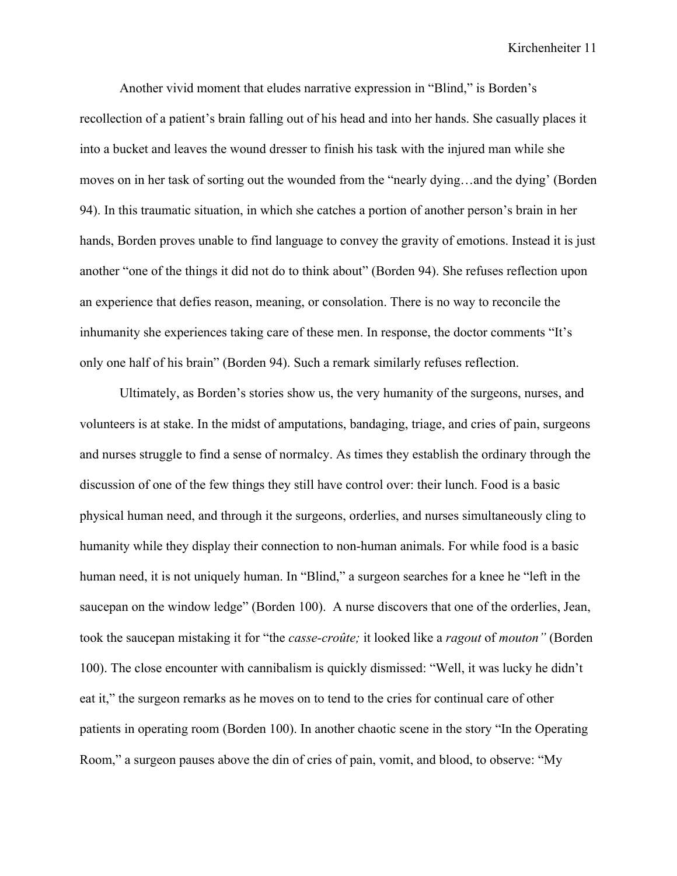Another vivid moment that eludes narrative expression in "Blind," is Borden's recollection of a patient's brain falling out of his head and into her hands. She casually places it into a bucket and leaves the wound dresser to finish his task with the injured man while she moves on in her task of sorting out the wounded from the "nearly dying…and the dying' (Borden 94). In this traumatic situation, in which she catches a portion of another person's brain in her hands, Borden proves unable to find language to convey the gravity of emotions. Instead it is just another "one of the things it did not do to think about" (Borden 94). She refuses reflection upon an experience that defies reason, meaning, or consolation. There is no way to reconcile the inhumanity she experiences taking care of these men. In response, the doctor comments "It's only one half of his brain" (Borden 94). Such a remark similarly refuses reflection.

Ultimately, as Borden's stories show us, the very humanity of the surgeons, nurses, and volunteers is at stake. In the midst of amputations, bandaging, triage, and cries of pain, surgeons and nurses struggle to find a sense of normalcy. As times they establish the ordinary through the discussion of one of the few things they still have control over: their lunch. Food is a basic physical human need, and through it the surgeons, orderlies, and nurses simultaneously cling to humanity while they display their connection to non-human animals. For while food is a basic human need, it is not uniquely human. In "Blind," a surgeon searches for a knee he "left in the saucepan on the window ledge" (Borden 100). A nurse discovers that one of the orderlies, Jean, took the saucepan mistaking it for "the *casse-croûte;* it looked like a *ragout* of *mouton"* (Borden 100). The close encounter with cannibalism is quickly dismissed: "Well, it was lucky he didn't eat it," the surgeon remarks as he moves on to tend to the cries for continual care of other patients in operating room (Borden 100). In another chaotic scene in the story "In the Operating Room," a surgeon pauses above the din of cries of pain, vomit, and blood, to observe: "My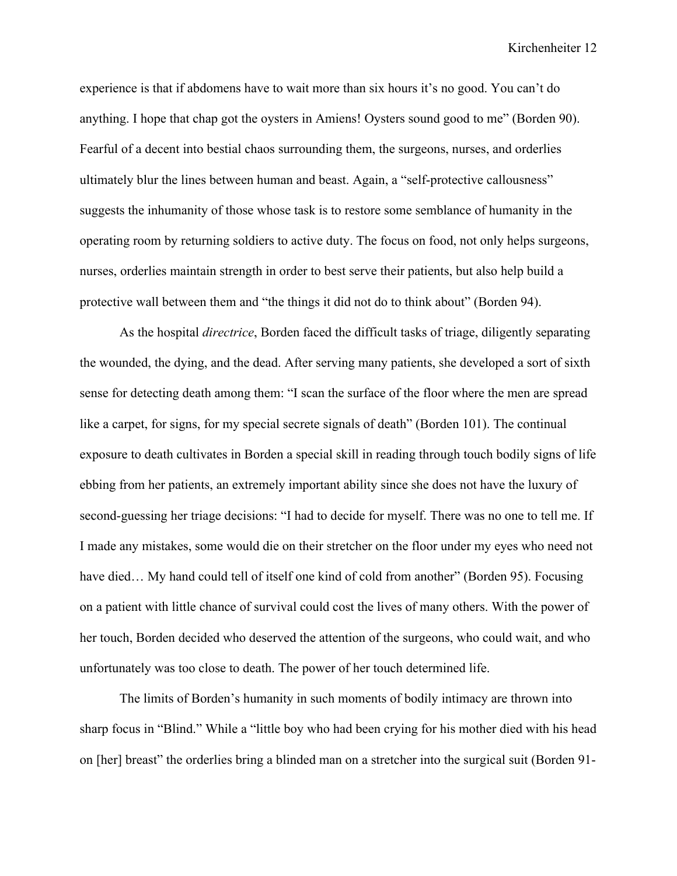experience is that if abdomens have to wait more than six hours it's no good. You can't do anything. I hope that chap got the oysters in Amiens! Oysters sound good to me" (Borden 90). Fearful of a decent into bestial chaos surrounding them, the surgeons, nurses, and orderlies ultimately blur the lines between human and beast. Again, a "self-protective callousness" suggests the inhumanity of those whose task is to restore some semblance of humanity in the operating room by returning soldiers to active duty. The focus on food, not only helps surgeons, nurses, orderlies maintain strength in order to best serve their patients, but also help build a protective wall between them and "the things it did not do to think about" (Borden 94).

As the hospital *directrice*, Borden faced the difficult tasks of triage, diligently separating the wounded, the dying, and the dead. After serving many patients, she developed a sort of sixth sense for detecting death among them: "I scan the surface of the floor where the men are spread like a carpet, for signs, for my special secrete signals of death" (Borden 101). The continual exposure to death cultivates in Borden a special skill in reading through touch bodily signs of life ebbing from her patients, an extremely important ability since she does not have the luxury of second-guessing her triage decisions: "I had to decide for myself. There was no one to tell me. If I made any mistakes, some would die on their stretcher on the floor under my eyes who need not have died... My hand could tell of itself one kind of cold from another" (Borden 95). Focusing on a patient with little chance of survival could cost the lives of many others. With the power of her touch, Borden decided who deserved the attention of the surgeons, who could wait, and who unfortunately was too close to death. The power of her touch determined life.

The limits of Borden's humanity in such moments of bodily intimacy are thrown into sharp focus in "Blind." While a "little boy who had been crying for his mother died with his head on [her] breast" the orderlies bring a blinded man on a stretcher into the surgical suit (Borden 91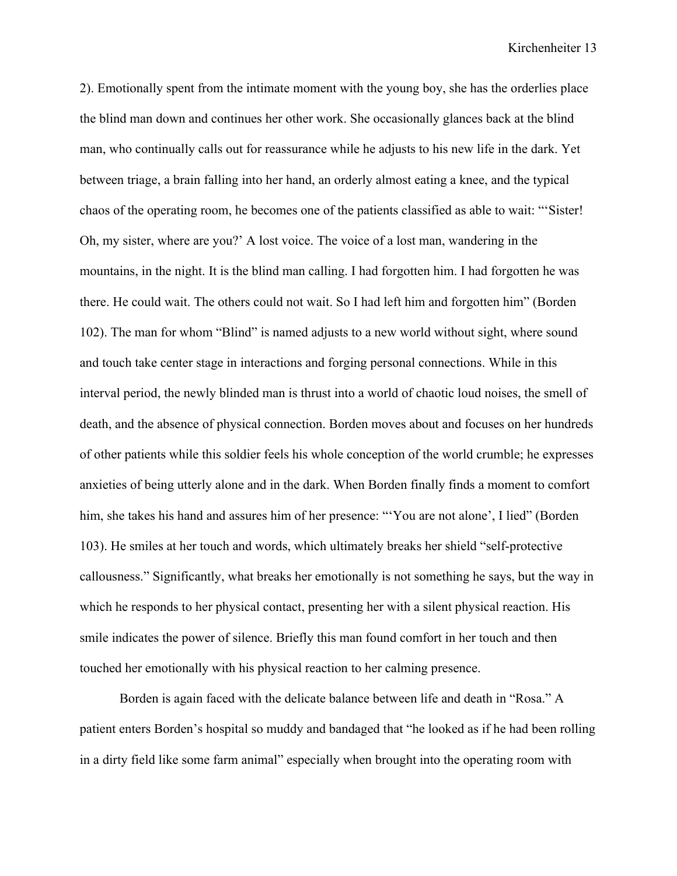2). Emotionally spent from the intimate moment with the young boy, she has the orderlies place the blind man down and continues her other work. She occasionally glances back at the blind man, who continually calls out for reassurance while he adjusts to his new life in the dark. Yet between triage, a brain falling into her hand, an orderly almost eating a knee, and the typical chaos of the operating room, he becomes one of the patients classified as able to wait: "'Sister! Oh, my sister, where are you?' A lost voice. The voice of a lost man, wandering in the mountains, in the night. It is the blind man calling. I had forgotten him. I had forgotten he was there. He could wait. The others could not wait. So I had left him and forgotten him" (Borden 102). The man for whom "Blind" is named adjusts to a new world without sight, where sound and touch take center stage in interactions and forging personal connections. While in this interval period, the newly blinded man is thrust into a world of chaotic loud noises, the smell of death, and the absence of physical connection. Borden moves about and focuses on her hundreds of other patients while this soldier feels his whole conception of the world crumble; he expresses anxieties of being utterly alone and in the dark. When Borden finally finds a moment to comfort him, she takes his hand and assures him of her presence: "'You are not alone', I lied" (Borden 103). He smiles at her touch and words, which ultimately breaks her shield "self-protective callousness." Significantly, what breaks her emotionally is not something he says, but the way in which he responds to her physical contact, presenting her with a silent physical reaction. His smile indicates the power of silence. Briefly this man found comfort in her touch and then touched her emotionally with his physical reaction to her calming presence.

Borden is again faced with the delicate balance between life and death in "Rosa." A patient enters Borden's hospital so muddy and bandaged that "he looked as if he had been rolling in a dirty field like some farm animal" especially when brought into the operating room with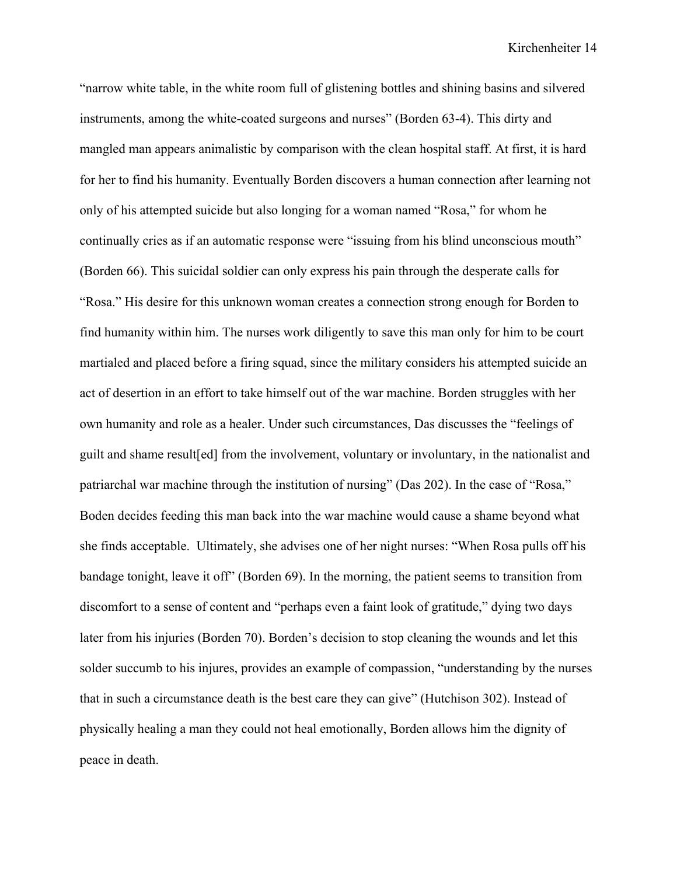"narrow white table, in the white room full of glistening bottles and shining basins and silvered instruments, among the white-coated surgeons and nurses" (Borden 63-4). This dirty and mangled man appears animalistic by comparison with the clean hospital staff. At first, it is hard for her to find his humanity. Eventually Borden discovers a human connection after learning not only of his attempted suicide but also longing for a woman named "Rosa," for whom he continually cries as if an automatic response were "issuing from his blind unconscious mouth" (Borden 66). This suicidal soldier can only express his pain through the desperate calls for "Rosa." His desire for this unknown woman creates a connection strong enough for Borden to find humanity within him. The nurses work diligently to save this man only for him to be court martialed and placed before a firing squad, since the military considers his attempted suicide an act of desertion in an effort to take himself out of the war machine. Borden struggles with her own humanity and role as a healer. Under such circumstances, Das discusses the "feelings of guilt and shame result[ed] from the involvement, voluntary or involuntary, in the nationalist and patriarchal war machine through the institution of nursing" (Das 202). In the case of "Rosa," Boden decides feeding this man back into the war machine would cause a shame beyond what she finds acceptable. Ultimately, she advises one of her night nurses: "When Rosa pulls off his bandage tonight, leave it off" (Borden 69). In the morning, the patient seems to transition from discomfort to a sense of content and "perhaps even a faint look of gratitude," dying two days later from his injuries (Borden 70). Borden's decision to stop cleaning the wounds and let this solder succumb to his injures, provides an example of compassion, "understanding by the nurses that in such a circumstance death is the best care they can give" (Hutchison 302). Instead of physically healing a man they could not heal emotionally, Borden allows him the dignity of peace in death.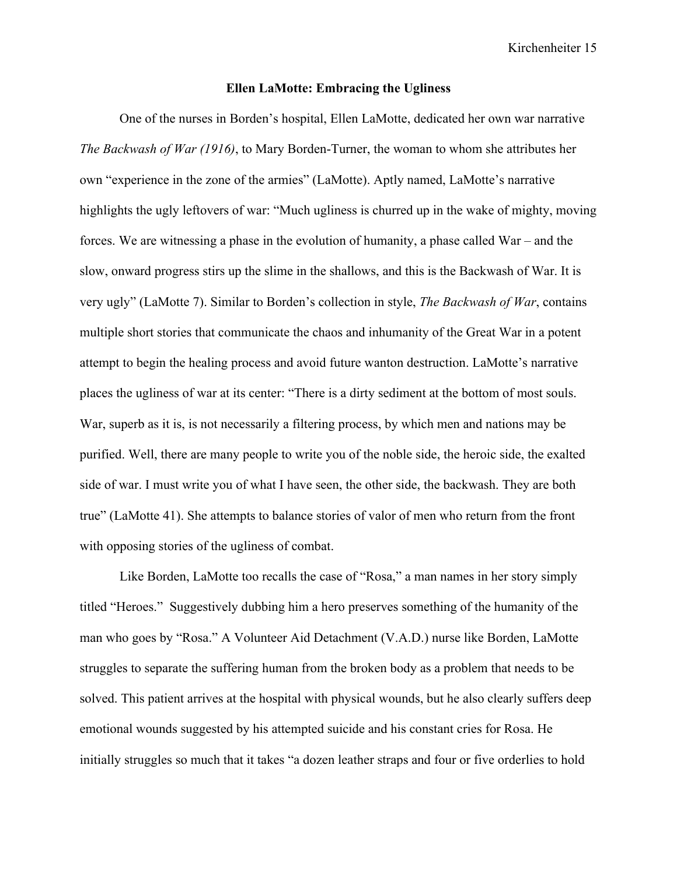#### **Ellen LaMotte: Embracing the Ugliness**

One of the nurses in Borden's hospital, Ellen LaMotte, dedicated her own war narrative *The Backwash of War (1916)*, to Mary Borden-Turner, the woman to whom she attributes her own "experience in the zone of the armies" (LaMotte). Aptly named, LaMotte's narrative highlights the ugly leftovers of war: "Much ugliness is churred up in the wake of mighty, moving forces. We are witnessing a phase in the evolution of humanity, a phase called War – and the slow, onward progress stirs up the slime in the shallows, and this is the Backwash of War. It is very ugly" (LaMotte 7). Similar to Borden's collection in style, *The Backwash of War*, contains multiple short stories that communicate the chaos and inhumanity of the Great War in a potent attempt to begin the healing process and avoid future wanton destruction. LaMotte's narrative places the ugliness of war at its center: "There is a dirty sediment at the bottom of most souls. War, superb as it is, is not necessarily a filtering process, by which men and nations may be purified. Well, there are many people to write you of the noble side, the heroic side, the exalted side of war. I must write you of what I have seen, the other side, the backwash. They are both true" (LaMotte 41). She attempts to balance stories of valor of men who return from the front with opposing stories of the ugliness of combat.

Like Borden, LaMotte too recalls the case of "Rosa," a man names in her story simply titled "Heroes." Suggestively dubbing him a hero preserves something of the humanity of the man who goes by "Rosa." A Volunteer Aid Detachment (V.A.D.) nurse like Borden, LaMotte struggles to separate the suffering human from the broken body as a problem that needs to be solved. This patient arrives at the hospital with physical wounds, but he also clearly suffers deep emotional wounds suggested by his attempted suicide and his constant cries for Rosa. He initially struggles so much that it takes "a dozen leather straps and four or five orderlies to hold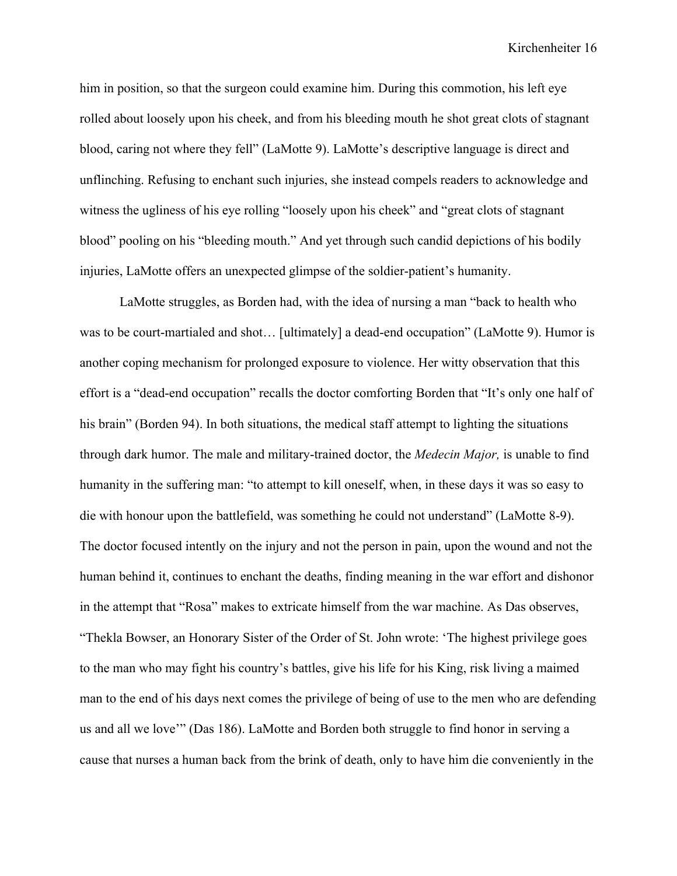him in position, so that the surgeon could examine him. During this commotion, his left eye rolled about loosely upon his cheek, and from his bleeding mouth he shot great clots of stagnant blood, caring not where they fell" (LaMotte 9). LaMotte's descriptive language is direct and unflinching. Refusing to enchant such injuries, she instead compels readers to acknowledge and witness the ugliness of his eye rolling "loosely upon his cheek" and "great clots of stagnant blood" pooling on his "bleeding mouth." And yet through such candid depictions of his bodily injuries, LaMotte offers an unexpected glimpse of the soldier-patient's humanity.

LaMotte struggles, as Borden had, with the idea of nursing a man "back to health who was to be court-martialed and shot… [ultimately] a dead-end occupation" (LaMotte 9). Humor is another coping mechanism for prolonged exposure to violence. Her witty observation that this effort is a "dead-end occupation" recalls the doctor comforting Borden that "It's only one half of his brain" (Borden 94). In both situations, the medical staff attempt to lighting the situations through dark humor. The male and military-trained doctor, the *Medecin Major,* is unable to find humanity in the suffering man: "to attempt to kill oneself, when, in these days it was so easy to die with honour upon the battlefield, was something he could not understand" (LaMotte 8-9). The doctor focused intently on the injury and not the person in pain, upon the wound and not the human behind it, continues to enchant the deaths, finding meaning in the war effort and dishonor in the attempt that "Rosa" makes to extricate himself from the war machine. As Das observes, "Thekla Bowser, an Honorary Sister of the Order of St. John wrote: 'The highest privilege goes to the man who may fight his country's battles, give his life for his King, risk living a maimed man to the end of his days next comes the privilege of being of use to the men who are defending us and all we love'" (Das 186). LaMotte and Borden both struggle to find honor in serving a cause that nurses a human back from the brink of death, only to have him die conveniently in the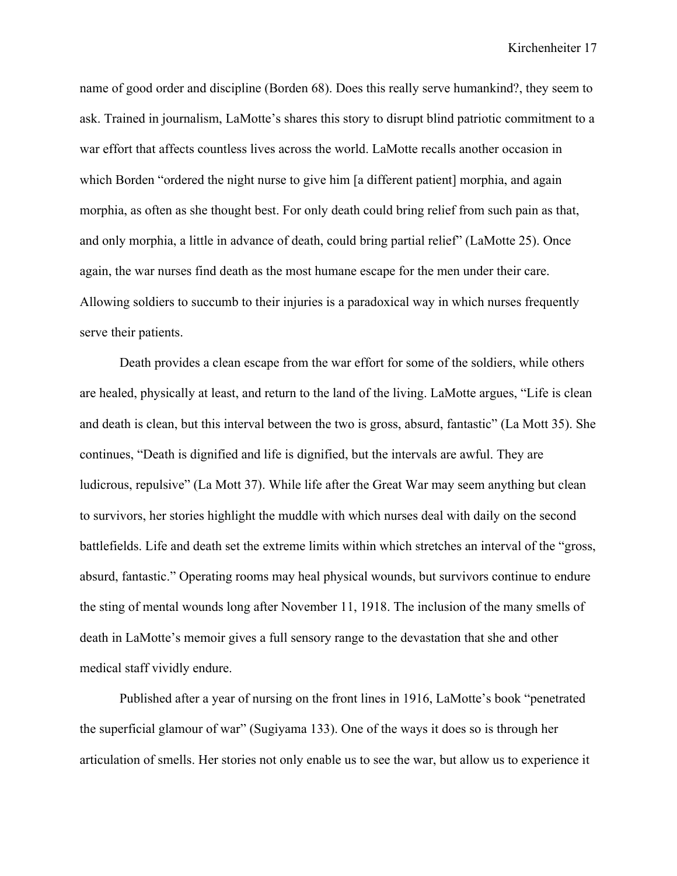name of good order and discipline (Borden 68). Does this really serve humankind?, they seem to ask. Trained in journalism, LaMotte's shares this story to disrupt blind patriotic commitment to a war effort that affects countless lives across the world. LaMotte recalls another occasion in which Borden "ordered the night nurse to give him [a different patient] morphia, and again morphia, as often as she thought best. For only death could bring relief from such pain as that, and only morphia, a little in advance of death, could bring partial relief" (LaMotte 25). Once again, the war nurses find death as the most humane escape for the men under their care. Allowing soldiers to succumb to their injuries is a paradoxical way in which nurses frequently serve their patients.

Death provides a clean escape from the war effort for some of the soldiers, while others are healed, physically at least, and return to the land of the living. LaMotte argues, "Life is clean and death is clean, but this interval between the two is gross, absurd, fantastic" (La Mott 35). She continues, "Death is dignified and life is dignified, but the intervals are awful. They are ludicrous, repulsive" (La Mott 37). While life after the Great War may seem anything but clean to survivors, her stories highlight the muddle with which nurses deal with daily on the second battlefields. Life and death set the extreme limits within which stretches an interval of the "gross, absurd, fantastic." Operating rooms may heal physical wounds, but survivors continue to endure the sting of mental wounds long after November 11, 1918. The inclusion of the many smells of death in LaMotte's memoir gives a full sensory range to the devastation that she and other medical staff vividly endure.

Published after a year of nursing on the front lines in 1916, LaMotte's book "penetrated the superficial glamour of war" (Sugiyama 133). One of the ways it does so is through her articulation of smells. Her stories not only enable us to see the war, but allow us to experience it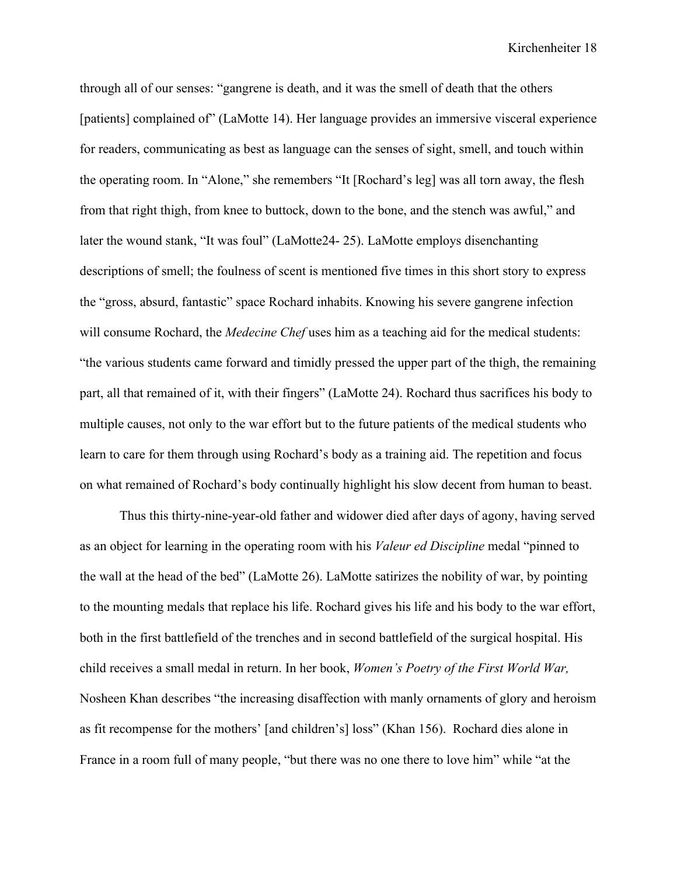through all of our senses: "gangrene is death, and it was the smell of death that the others [patients] complained of" (LaMotte 14). Her language provides an immersive visceral experience for readers, communicating as best as language can the senses of sight, smell, and touch within the operating room. In "Alone," she remembers "It [Rochard's leg] was all torn away, the flesh from that right thigh, from knee to buttock, down to the bone, and the stench was awful," and later the wound stank, "It was foul" (LaMotte24- 25). LaMotte employs disenchanting descriptions of smell; the foulness of scent is mentioned five times in this short story to express the "gross, absurd, fantastic" space Rochard inhabits. Knowing his severe gangrene infection will consume Rochard, the *Medecine Chef* uses him as a teaching aid for the medical students: "the various students came forward and timidly pressed the upper part of the thigh, the remaining part, all that remained of it, with their fingers" (LaMotte 24). Rochard thus sacrifices his body to multiple causes, not only to the war effort but to the future patients of the medical students who learn to care for them through using Rochard's body as a training aid. The repetition and focus on what remained of Rochard's body continually highlight his slow decent from human to beast.

Thus this thirty-nine-year-old father and widower died after days of agony, having served as an object for learning in the operating room with his *Valeur ed Discipline* medal "pinned to the wall at the head of the bed" (LaMotte 26). LaMotte satirizes the nobility of war, by pointing to the mounting medals that replace his life. Rochard gives his life and his body to the war effort, both in the first battlefield of the trenches and in second battlefield of the surgical hospital. His child receives a small medal in return. In her book, *Women's Poetry of the First World War,*  Nosheen Khan describes "the increasing disaffection with manly ornaments of glory and heroism as fit recompense for the mothers' [and children's] loss" (Khan 156). Rochard dies alone in France in a room full of many people, "but there was no one there to love him" while "at the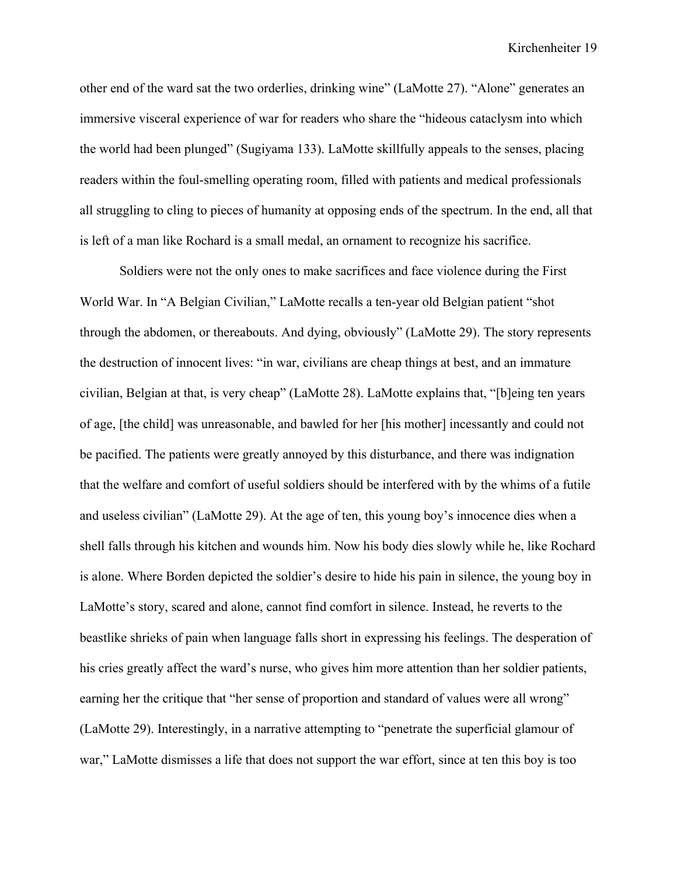other end of the ward sat the two orderlies, drinking wine" (LaMotte 27). "Alone" generates an immersive visceral experience of war for readers who share the "hideous cataclysm into which the world had been plunged" (Sugiyama 133). LaMotte skillfully appeals to the senses, placing readers within the foul-smelling operating room, filled with patients and medical professionals all struggling to cling to pieces of humanity at opposing ends of the spectrum. In the end, all that is left of a man like Rochard is a small medal, an ornament to recognize his sacrifice.

Soldiers were not the only ones to make sacrifices and face violence during the First World War. In "A Belgian Civilian," LaMotte recalls a ten-year old Belgian patient "shot through the abdomen, or thereabouts. And dying, obviously" (LaMotte 29). The story represents the destruction of innocent lives: "in war, civilians are cheap things at best, and an immature civilian, Belgian at that, is very cheap" (LaMotte 28). LaMotte explains that, "[b]eing ten years of age, [the child] was unreasonable, and bawled for her [his mother] incessantly and could not be pacified. The patients were greatly annoyed by this disturbance, and there was indignation that the welfare and comfort of useful soldiers should be interfered with by the whims of a futile and useless civilian" (LaMotte 29). At the age of ten, this young boy's innocence dies when a shell falls through his kitchen and wounds him. Now his body dies slowly while he, like Rochard is alone. Where Borden depicted the soldier's desire to hide his pain in silence, the young boy in LaMotte's story, scared and alone, cannot find comfort in silence. Instead, he reverts to the beastlike shrieks of pain when language falls short in expressing his feelings. The desperation of his cries greatly affect the ward's nurse, who gives him more attention than her soldier patients, earning her the critique that "her sense of proportion and standard of values were all wrong" (LaMotte 29). Interestingly, in a narrative attempting to "penetrate the superficial glamour of war," LaMotte dismisses a life that does not support the war effort, since at ten this boy is too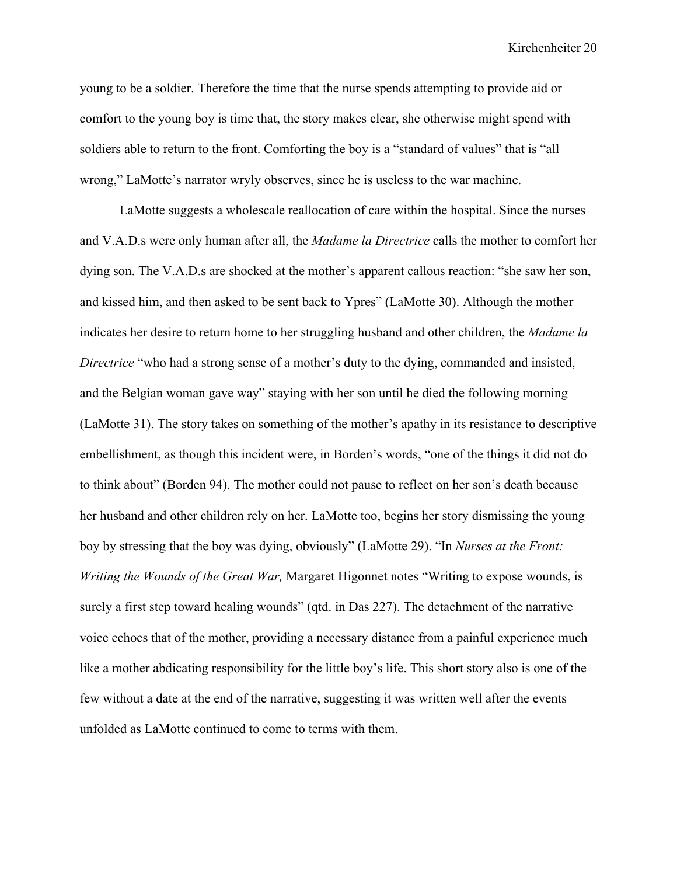young to be a soldier. Therefore the time that the nurse spends attempting to provide aid or comfort to the young boy is time that, the story makes clear, she otherwise might spend with soldiers able to return to the front. Comforting the boy is a "standard of values" that is "all wrong," LaMotte's narrator wryly observes, since he is useless to the war machine.

LaMotte suggests a wholescale reallocation of care within the hospital. Since the nurses and V.A.D.s were only human after all, the *Madame la Directrice* calls the mother to comfort her dying son. The V.A.D.s are shocked at the mother's apparent callous reaction: "she saw her son, and kissed him, and then asked to be sent back to Ypres" (LaMotte 30). Although the mother indicates her desire to return home to her struggling husband and other children, the *Madame la Directrice* "who had a strong sense of a mother's duty to the dying, commanded and insisted, and the Belgian woman gave way" staying with her son until he died the following morning (LaMotte 31). The story takes on something of the mother's apathy in its resistance to descriptive embellishment, as though this incident were, in Borden's words, "one of the things it did not do to think about" (Borden 94). The mother could not pause to reflect on her son's death because her husband and other children rely on her. LaMotte too, begins her story dismissing the young boy by stressing that the boy was dying, obviously" (LaMotte 29). "In *Nurses at the Front: Writing the Wounds of the Great War,* Margaret Higonnet notes "Writing to expose wounds, is surely a first step toward healing wounds" (qtd. in Das 227). The detachment of the narrative voice echoes that of the mother, providing a necessary distance from a painful experience much like a mother abdicating responsibility for the little boy's life. This short story also is one of the few without a date at the end of the narrative, suggesting it was written well after the events unfolded as LaMotte continued to come to terms with them.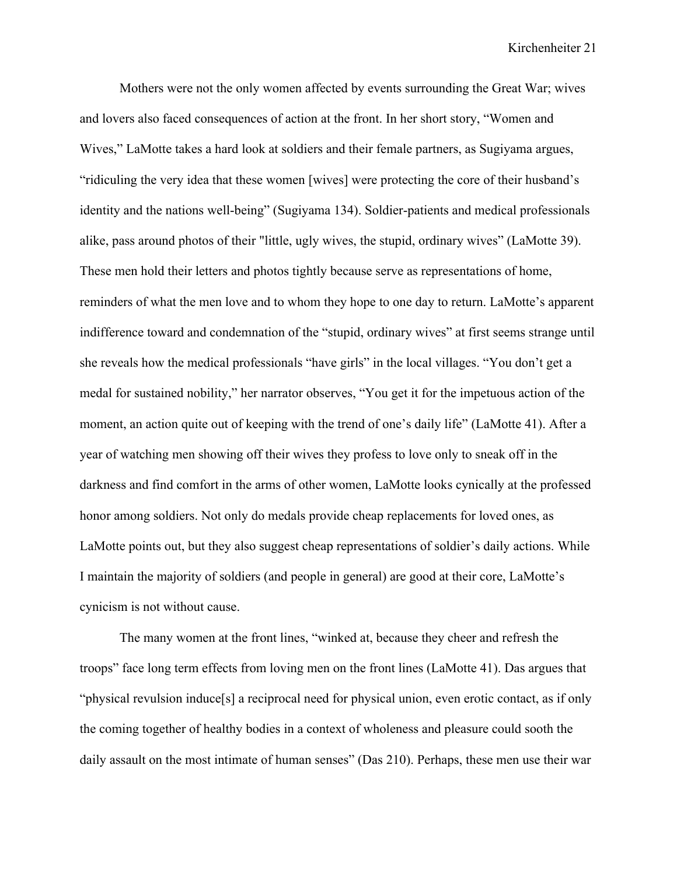Mothers were not the only women affected by events surrounding the Great War; wives and lovers also faced consequences of action at the front. In her short story, "Women and Wives," LaMotte takes a hard look at soldiers and their female partners, as Sugiyama argues, "ridiculing the very idea that these women [wives] were protecting the core of their husband's identity and the nations well-being" (Sugiyama 134). Soldier-patients and medical professionals alike, pass around photos of their "little, ugly wives, the stupid, ordinary wives" (LaMotte 39). These men hold their letters and photos tightly because serve as representations of home, reminders of what the men love and to whom they hope to one day to return. LaMotte's apparent indifference toward and condemnation of the "stupid, ordinary wives" at first seems strange until she reveals how the medical professionals "have girls" in the local villages. "You don't get a medal for sustained nobility," her narrator observes, "You get it for the impetuous action of the moment, an action quite out of keeping with the trend of one's daily life" (LaMotte 41). After a year of watching men showing off their wives they profess to love only to sneak off in the darkness and find comfort in the arms of other women, LaMotte looks cynically at the professed honor among soldiers. Not only do medals provide cheap replacements for loved ones, as LaMotte points out, but they also suggest cheap representations of soldier's daily actions. While I maintain the majority of soldiers (and people in general) are good at their core, LaMotte's cynicism is not without cause.

The many women at the front lines, "winked at, because they cheer and refresh the troops" face long term effects from loving men on the front lines (LaMotte 41). Das argues that "physical revulsion induce<sup>[5]</sup> a reciprocal need for physical union, even erotic contact, as if only the coming together of healthy bodies in a context of wholeness and pleasure could sooth the daily assault on the most intimate of human senses" (Das 210). Perhaps, these men use their war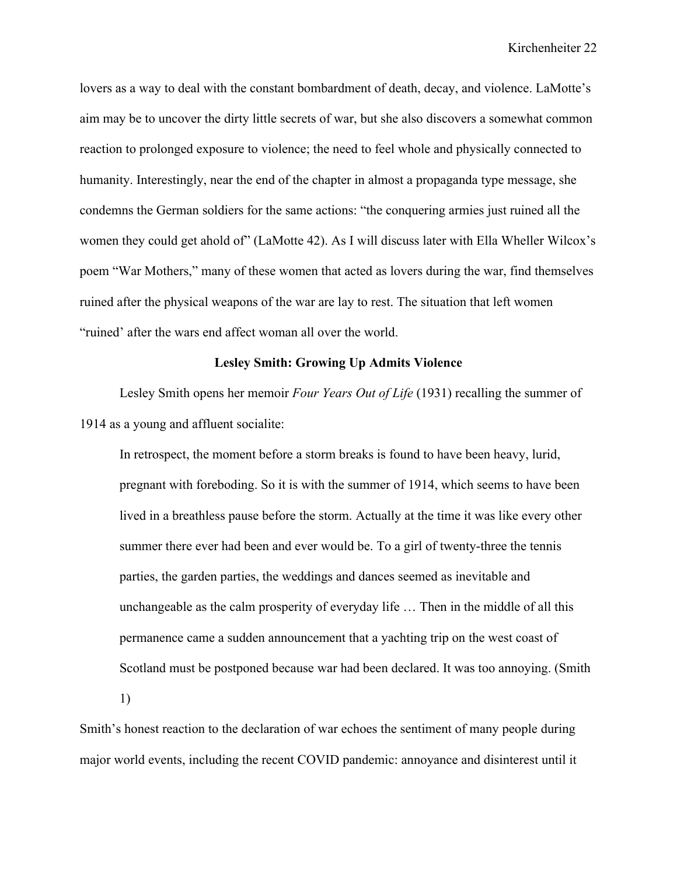lovers as a way to deal with the constant bombardment of death, decay, and violence. LaMotte's aim may be to uncover the dirty little secrets of war, but she also discovers a somewhat common reaction to prolonged exposure to violence; the need to feel whole and physically connected to humanity. Interestingly, near the end of the chapter in almost a propaganda type message, she condemns the German soldiers for the same actions: "the conquering armies just ruined all the women they could get ahold of" (LaMotte 42). As I will discuss later with Ella Wheller Wilcox's poem "War Mothers," many of these women that acted as lovers during the war, find themselves ruined after the physical weapons of the war are lay to rest. The situation that left women "ruined' after the wars end affect woman all over the world.

### **Lesley Smith: Growing Up Admits Violence**

Lesley Smith opens her memoir *Four Years Out of Life* (1931) recalling the summer of 1914 as a young and affluent socialite:

In retrospect, the moment before a storm breaks is found to have been heavy, lurid, pregnant with foreboding. So it is with the summer of 1914, which seems to have been lived in a breathless pause before the storm. Actually at the time it was like every other summer there ever had been and ever would be. To a girl of twenty-three the tennis parties, the garden parties, the weddings and dances seemed as inevitable and unchangeable as the calm prosperity of everyday life … Then in the middle of all this permanence came a sudden announcement that a yachting trip on the west coast of Scotland must be postponed because war had been declared. It was too annoying. (Smith 1)

Smith's honest reaction to the declaration of war echoes the sentiment of many people during major world events, including the recent COVID pandemic: annoyance and disinterest until it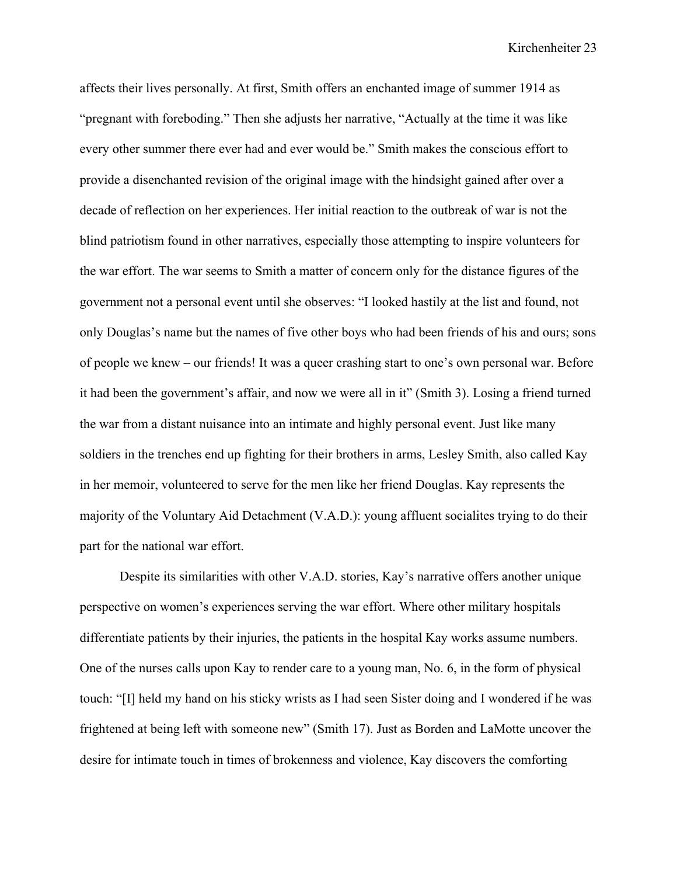affects their lives personally. At first, Smith offers an enchanted image of summer 1914 as "pregnant with foreboding." Then she adjusts her narrative, "Actually at the time it was like every other summer there ever had and ever would be." Smith makes the conscious effort to provide a disenchanted revision of the original image with the hindsight gained after over a decade of reflection on her experiences. Her initial reaction to the outbreak of war is not the blind patriotism found in other narratives, especially those attempting to inspire volunteers for the war effort. The war seems to Smith a matter of concern only for the distance figures of the government not a personal event until she observes: "I looked hastily at the list and found, not only Douglas's name but the names of five other boys who had been friends of his and ours; sons of people we knew – our friends! It was a queer crashing start to one's own personal war. Before it had been the government's affair, and now we were all in it" (Smith 3). Losing a friend turned the war from a distant nuisance into an intimate and highly personal event. Just like many soldiers in the trenches end up fighting for their brothers in arms, Lesley Smith, also called Kay in her memoir, volunteered to serve for the men like her friend Douglas. Kay represents the majority of the Voluntary Aid Detachment (V.A.D.): young affluent socialites trying to do their part for the national war effort.

Despite its similarities with other V.A.D. stories, Kay's narrative offers another unique perspective on women's experiences serving the war effort. Where other military hospitals differentiate patients by their injuries, the patients in the hospital Kay works assume numbers. One of the nurses calls upon Kay to render care to a young man, No. 6, in the form of physical touch: "[I] held my hand on his sticky wrists as I had seen Sister doing and I wondered if he was frightened at being left with someone new" (Smith 17). Just as Borden and LaMotte uncover the desire for intimate touch in times of brokenness and violence, Kay discovers the comforting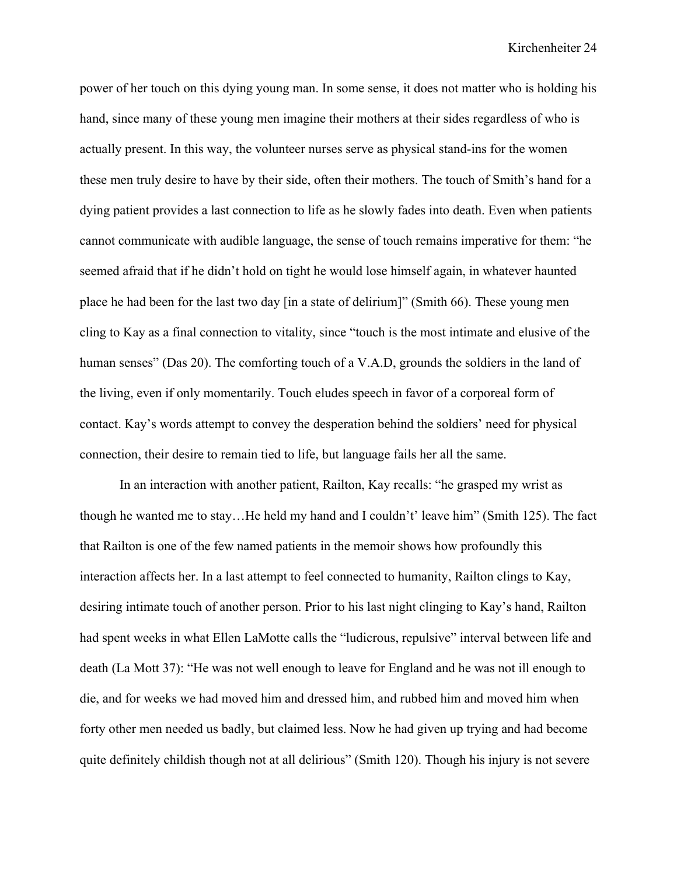power of her touch on this dying young man. In some sense, it does not matter who is holding his hand, since many of these young men imagine their mothers at their sides regardless of who is actually present. In this way, the volunteer nurses serve as physical stand-ins for the women these men truly desire to have by their side, often their mothers. The touch of Smith's hand for a dying patient provides a last connection to life as he slowly fades into death. Even when patients cannot communicate with audible language, the sense of touch remains imperative for them: "he seemed afraid that if he didn't hold on tight he would lose himself again, in whatever haunted place he had been for the last two day [in a state of delirium]" (Smith 66). These young men cling to Kay as a final connection to vitality, since "touch is the most intimate and elusive of the human senses" (Das 20). The comforting touch of a V.A.D, grounds the soldiers in the land of the living, even if only momentarily. Touch eludes speech in favor of a corporeal form of contact. Kay's words attempt to convey the desperation behind the soldiers' need for physical connection, their desire to remain tied to life, but language fails her all the same.

In an interaction with another patient, Railton, Kay recalls: "he grasped my wrist as though he wanted me to stay…He held my hand and I couldn't' leave him" (Smith 125). The fact that Railton is one of the few named patients in the memoir shows how profoundly this interaction affects her. In a last attempt to feel connected to humanity, Railton clings to Kay, desiring intimate touch of another person. Prior to his last night clinging to Kay's hand, Railton had spent weeks in what Ellen LaMotte calls the "ludicrous, repulsive" interval between life and death (La Mott 37): "He was not well enough to leave for England and he was not ill enough to die, and for weeks we had moved him and dressed him, and rubbed him and moved him when forty other men needed us badly, but claimed less. Now he had given up trying and had become quite definitely childish though not at all delirious" (Smith 120). Though his injury is not severe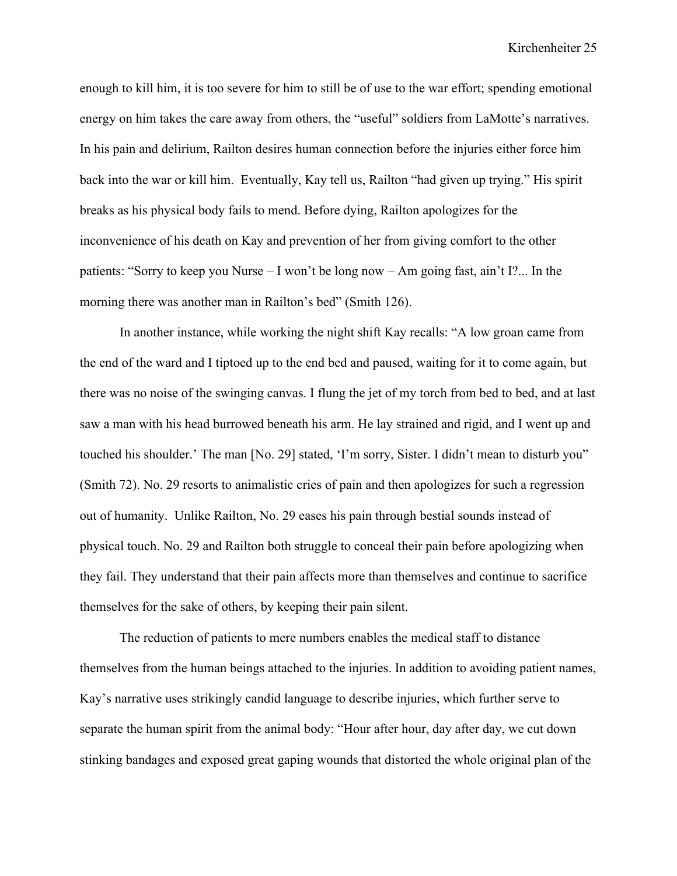enough to kill him, it is too severe for him to still be of use to the war effort; spending emotional energy on him takes the care away from others, the "useful" soldiers from LaMotte's narratives. In his pain and delirium, Railton desires human connection before the injuries either force him back into the war or kill him. Eventually, Kay tell us, Railton "had given up trying." His spirit breaks as his physical body fails to mend. Before dying, Railton apologizes for the inconvenience of his death on Kay and prevention of her from giving comfort to the other patients: "Sorry to keep you Nurse – I won't be long now – Am going fast, ain't I?... In the morning there was another man in Railton's bed" (Smith 126).

In another instance, while working the night shift Kay recalls: "A low groan came from the end of the ward and I tiptoed up to the end bed and paused, waiting for it to come again, but there was no noise of the swinging canvas. I flung the jet of my torch from bed to bed, and at last saw a man with his head burrowed beneath his arm. He lay strained and rigid, and I went up and touched his shoulder.' The man [No. 29] stated, 'I'm sorry, Sister. I didn't mean to disturb you" (Smith 72). No. 29 resorts to animalistic cries of pain and then apologizes for such a regression out of humanity. Unlike Railton, No. 29 eases his pain through bestial sounds instead of physical touch. No. 29 and Railton both struggle to conceal their pain before apologizing when they fail. They understand that their pain affects more than themselves and continue to sacrifice themselves for the sake of others, by keeping their pain silent.

The reduction of patients to mere numbers enables the medical staff to distance themselves from the human beings attached to the injuries. In addition to avoiding patient names, Kay's narrative uses strikingly candid language to describe injuries, which further serve to separate the human spirit from the animal body: "Hour after hour, day after day, we cut down stinking bandages and exposed great gaping wounds that distorted the whole original plan of the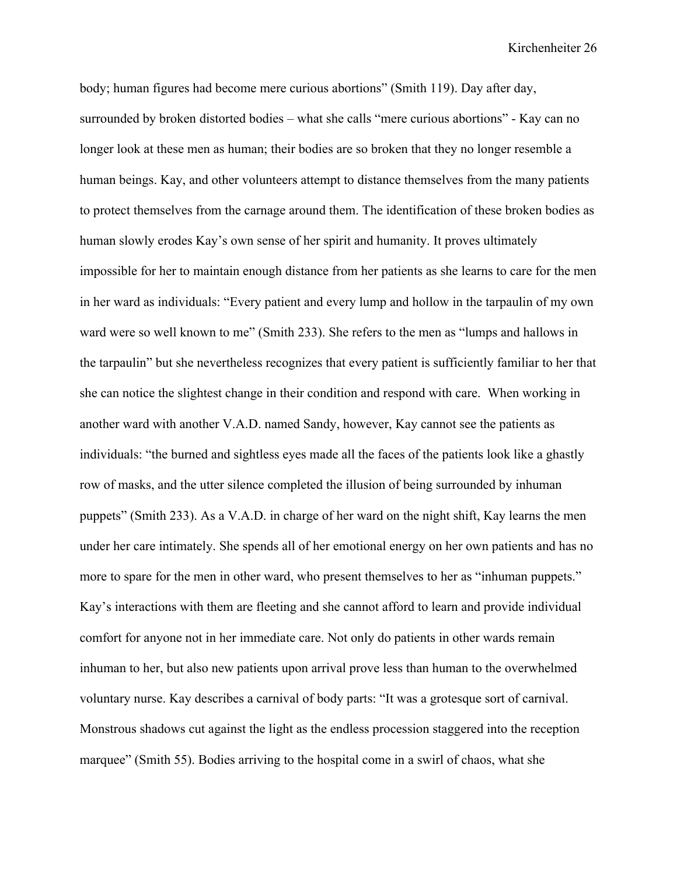body; human figures had become mere curious abortions" (Smith 119). Day after day, surrounded by broken distorted bodies – what she calls "mere curious abortions" - Kay can no longer look at these men as human; their bodies are so broken that they no longer resemble a human beings. Kay, and other volunteers attempt to distance themselves from the many patients to protect themselves from the carnage around them. The identification of these broken bodies as human slowly erodes Kay's own sense of her spirit and humanity. It proves ultimately impossible for her to maintain enough distance from her patients as she learns to care for the men in her ward as individuals: "Every patient and every lump and hollow in the tarpaulin of my own ward were so well known to me" (Smith 233). She refers to the men as "lumps and hallows in the tarpaulin" but she nevertheless recognizes that every patient is sufficiently familiar to her that she can notice the slightest change in their condition and respond with care. When working in another ward with another V.A.D. named Sandy, however, Kay cannot see the patients as individuals: "the burned and sightless eyes made all the faces of the patients look like a ghastly row of masks, and the utter silence completed the illusion of being surrounded by inhuman puppets" (Smith 233). As a V.A.D. in charge of her ward on the night shift, Kay learns the men under her care intimately. She spends all of her emotional energy on her own patients and has no more to spare for the men in other ward, who present themselves to her as "inhuman puppets." Kay's interactions with them are fleeting and she cannot afford to learn and provide individual comfort for anyone not in her immediate care. Not only do patients in other wards remain inhuman to her, but also new patients upon arrival prove less than human to the overwhelmed voluntary nurse. Kay describes a carnival of body parts: "It was a grotesque sort of carnival. Monstrous shadows cut against the light as the endless procession staggered into the reception marquee" (Smith 55). Bodies arriving to the hospital come in a swirl of chaos, what she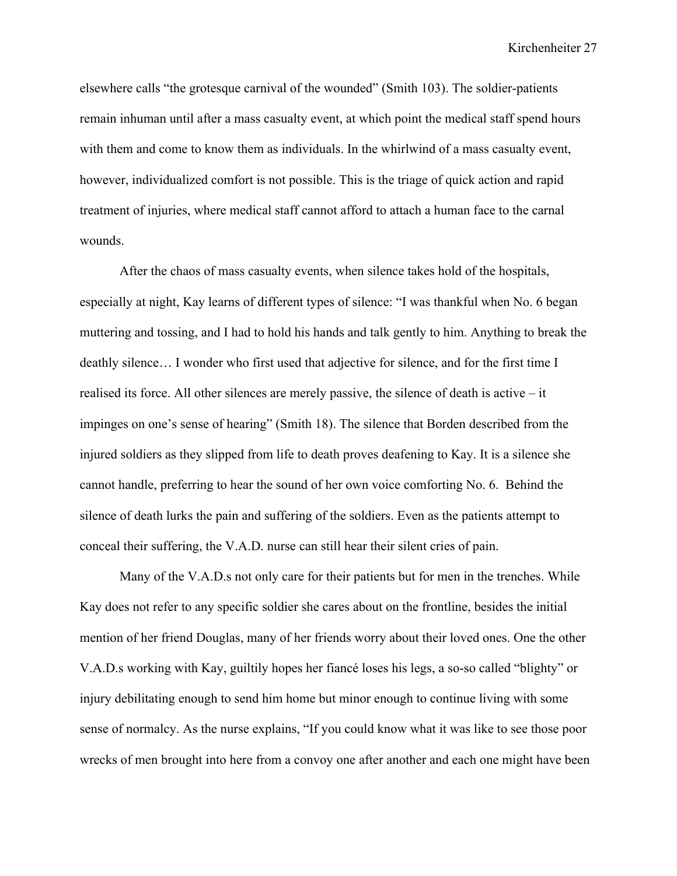elsewhere calls "the grotesque carnival of the wounded" (Smith 103). The soldier-patients remain inhuman until after a mass casualty event, at which point the medical staff spend hours with them and come to know them as individuals. In the whirlwind of a mass casualty event, however, individualized comfort is not possible. This is the triage of quick action and rapid treatment of injuries, where medical staff cannot afford to attach a human face to the carnal wounds.

After the chaos of mass casualty events, when silence takes hold of the hospitals, especially at night, Kay learns of different types of silence: "I was thankful when No. 6 began muttering and tossing, and I had to hold his hands and talk gently to him. Anything to break the deathly silence… I wonder who first used that adjective for silence, and for the first time I realised its force. All other silences are merely passive, the silence of death is active – it impinges on one's sense of hearing" (Smith 18). The silence that Borden described from the injured soldiers as they slipped from life to death proves deafening to Kay. It is a silence she cannot handle, preferring to hear the sound of her own voice comforting No. 6. Behind the silence of death lurks the pain and suffering of the soldiers. Even as the patients attempt to conceal their suffering, the V.A.D. nurse can still hear their silent cries of pain.

Many of the V.A.D.s not only care for their patients but for men in the trenches. While Kay does not refer to any specific soldier she cares about on the frontline, besides the initial mention of her friend Douglas, many of her friends worry about their loved ones. One the other V.A.D.s working with Kay, guiltily hopes her fiancé loses his legs, a so-so called "blighty" or injury debilitating enough to send him home but minor enough to continue living with some sense of normalcy. As the nurse explains, "If you could know what it was like to see those poor wrecks of men brought into here from a convoy one after another and each one might have been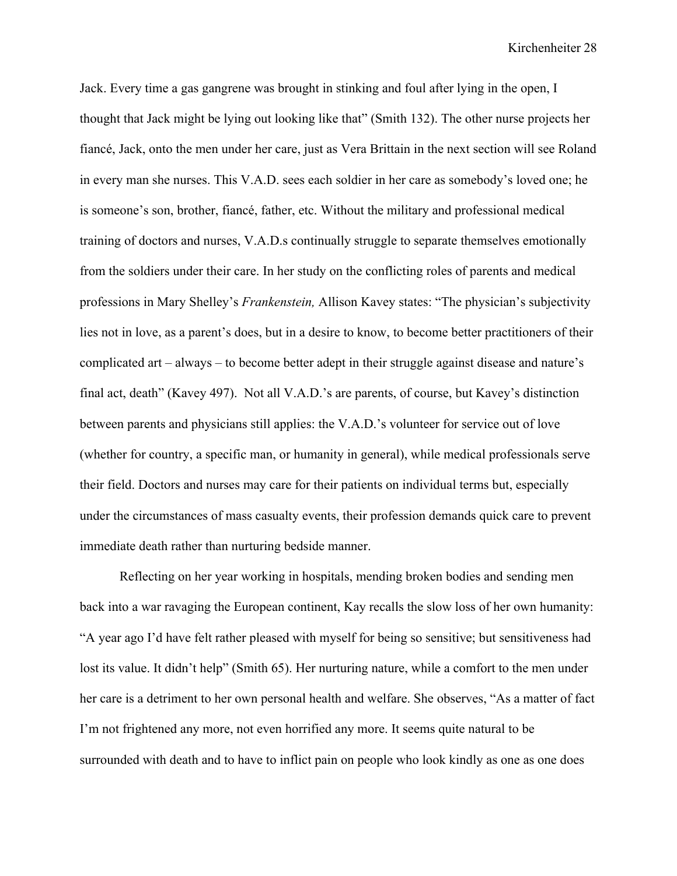Jack. Every time a gas gangrene was brought in stinking and foul after lying in the open, I thought that Jack might be lying out looking like that" (Smith 132). The other nurse projects her fiancé, Jack, onto the men under her care, just as Vera Brittain in the next section will see Roland in every man she nurses. This V.A.D. sees each soldier in her care as somebody's loved one; he is someone's son, brother, fiancé, father, etc. Without the military and professional medical training of doctors and nurses, V.A.D.s continually struggle to separate themselves emotionally from the soldiers under their care. In her study on the conflicting roles of parents and medical professions in Mary Shelley's *Frankenstein,* Allison Kavey states: "The physician's subjectivity lies not in love, as a parent's does, but in a desire to know, to become better practitioners of their complicated art – always – to become better adept in their struggle against disease and nature's final act, death" (Kavey 497). Not all V.A.D.'s are parents, of course, but Kavey's distinction between parents and physicians still applies: the V.A.D.'s volunteer for service out of love (whether for country, a specific man, or humanity in general), while medical professionals serve their field. Doctors and nurses may care for their patients on individual terms but, especially under the circumstances of mass casualty events, their profession demands quick care to prevent immediate death rather than nurturing bedside manner.

Reflecting on her year working in hospitals, mending broken bodies and sending men back into a war ravaging the European continent, Kay recalls the slow loss of her own humanity: "A year ago I'd have felt rather pleased with myself for being so sensitive; but sensitiveness had lost its value. It didn't help" (Smith 65). Her nurturing nature, while a comfort to the men under her care is a detriment to her own personal health and welfare. She observes, "As a matter of fact I'm not frightened any more, not even horrified any more. It seems quite natural to be surrounded with death and to have to inflict pain on people who look kindly as one as one does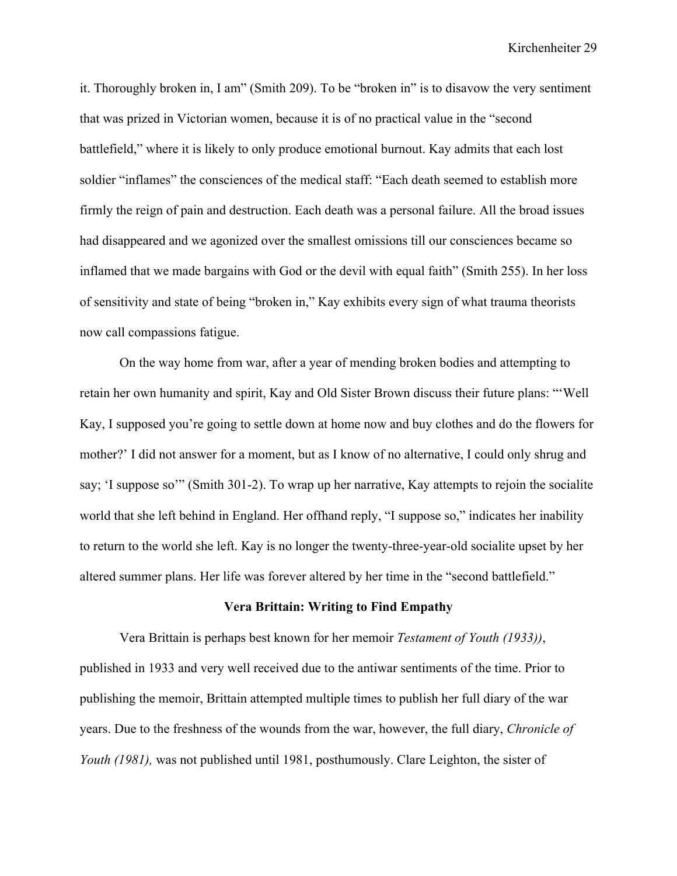it. Thoroughly broken in, I am" (Smith 209). To be "broken in" is to disavow the very sentiment that was prized in Victorian women, because it is of no practical value in the "second battlefield," where it is likely to only produce emotional burnout. Kay admits that each lost soldier "inflames" the consciences of the medical staff: "Each death seemed to establish more firmly the reign of pain and destruction. Each death was a personal failure. All the broad issues had disappeared and we agonized over the smallest omissions till our consciences became so inflamed that we made bargains with God or the devil with equal faith" (Smith 255). In her loss of sensitivity and state of being "broken in," Kay exhibits every sign of what trauma theorists now call compassions fatigue.

On the way home from war, after a year of mending broken bodies and attempting to retain her own humanity and spirit, Kay and Old Sister Brown discuss their future plans: "'Well Kay, I supposed you're going to settle down at home now and buy clothes and do the flowers for mother?' I did not answer for a moment, but as I know of no alternative, I could only shrug and say; 'I suppose so'" (Smith 301-2). To wrap up her narrative, Kay attempts to rejoin the socialite world that she left behind in England. Her offhand reply, "I suppose so," indicates her inability to return to the world she left. Kay is no longer the twenty-three-year-old socialite upset by her altered summer plans. Her life was forever altered by her time in the "second battlefield."

### **Vera Brittain: Writing to Find Empathy**

Vera Brittain is perhaps best known for her memoir *Testament of Youth (1933))*, published in 1933 and very well received due to the antiwar sentiments of the time. Prior to publishing the memoir, Brittain attempted multiple times to publish her full diary of the war years. Due to the freshness of the wounds from the war, however, the full diary, *Chronicle of Youth (1981),* was not published until 1981, posthumously. Clare Leighton, the sister of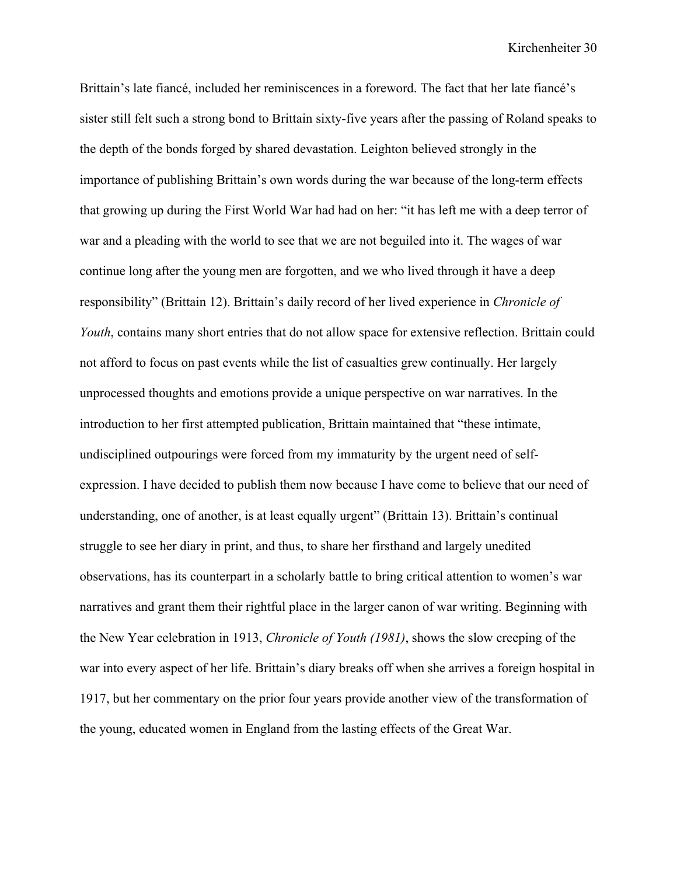Brittain's late fiancé, included her reminiscences in a foreword. The fact that her late fiancé's sister still felt such a strong bond to Brittain sixty-five years after the passing of Roland speaks to the depth of the bonds forged by shared devastation. Leighton believed strongly in the importance of publishing Brittain's own words during the war because of the long-term effects that growing up during the First World War had had on her: "it has left me with a deep terror of war and a pleading with the world to see that we are not beguiled into it. The wages of war continue long after the young men are forgotten, and we who lived through it have a deep responsibility" (Brittain 12). Brittain's daily record of her lived experience in *Chronicle of Youth*, contains many short entries that do not allow space for extensive reflection. Brittain could not afford to focus on past events while the list of casualties grew continually. Her largely unprocessed thoughts and emotions provide a unique perspective on war narratives. In the introduction to her first attempted publication, Brittain maintained that "these intimate, undisciplined outpourings were forced from my immaturity by the urgent need of selfexpression. I have decided to publish them now because I have come to believe that our need of understanding, one of another, is at least equally urgent" (Brittain 13). Brittain's continual struggle to see her diary in print, and thus, to share her firsthand and largely unedited observations, has its counterpart in a scholarly battle to bring critical attention to women's war narratives and grant them their rightful place in the larger canon of war writing. Beginning with the New Year celebration in 1913, *Chronicle of Youth (1981)*, shows the slow creeping of the war into every aspect of her life. Brittain's diary breaks off when she arrives a foreign hospital in 1917, but her commentary on the prior four years provide another view of the transformation of the young, educated women in England from the lasting effects of the Great War.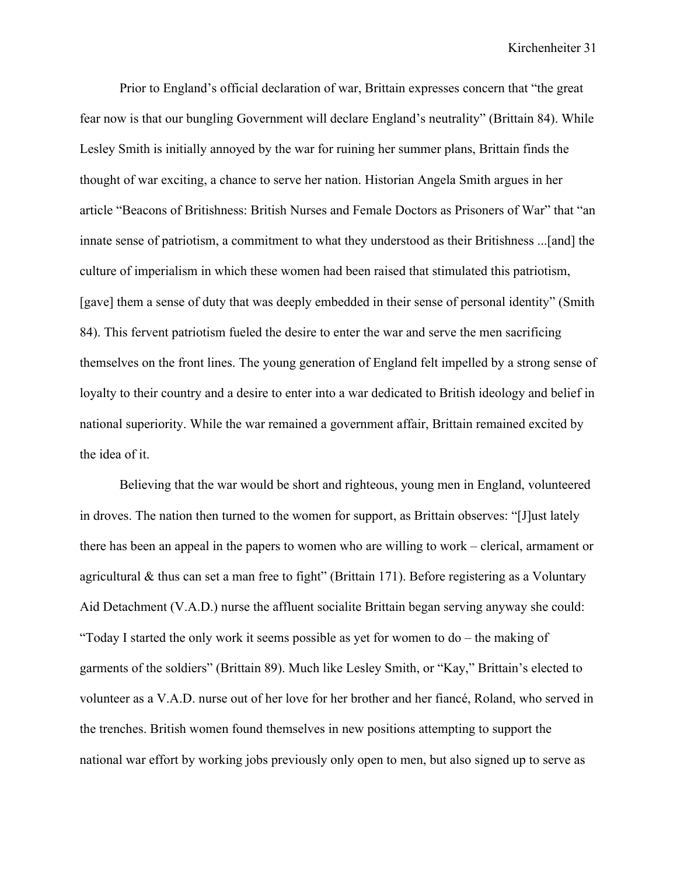Prior to England's official declaration of war, Brittain expresses concern that "the great fear now is that our bungling Government will declare England's neutrality" (Brittain 84). While Lesley Smith is initially annoyed by the war for ruining her summer plans, Brittain finds the thought of war exciting, a chance to serve her nation. Historian Angela Smith argues in her article "Beacons of Britishness: British Nurses and Female Doctors as Prisoners of War" that "an innate sense of patriotism, a commitment to what they understood as their Britishness ...[and] the culture of imperialism in which these women had been raised that stimulated this patriotism, [gave] them a sense of duty that was deeply embedded in their sense of personal identity" (Smith 84). This fervent patriotism fueled the desire to enter the war and serve the men sacrificing themselves on the front lines. The young generation of England felt impelled by a strong sense of loyalty to their country and a desire to enter into a war dedicated to British ideology and belief in national superiority. While the war remained a government affair, Brittain remained excited by the idea of it.

Believing that the war would be short and righteous, young men in England, volunteered in droves. The nation then turned to the women for support, as Brittain observes: "[J]ust lately there has been an appeal in the papers to women who are willing to work – clerical, armament or agricultural & thus can set a man free to fight" (Brittain 171). Before registering as a Voluntary Aid Detachment (V.A.D.) nurse the affluent socialite Brittain began serving anyway she could: "Today I started the only work it seems possible as yet for women to do – the making of garments of the soldiers" (Brittain 89). Much like Lesley Smith, or "Kay," Brittain's elected to volunteer as a V.A.D. nurse out of her love for her brother and her fiancé, Roland, who served in the trenches. British women found themselves in new positions attempting to support the national war effort by working jobs previously only open to men, but also signed up to serve as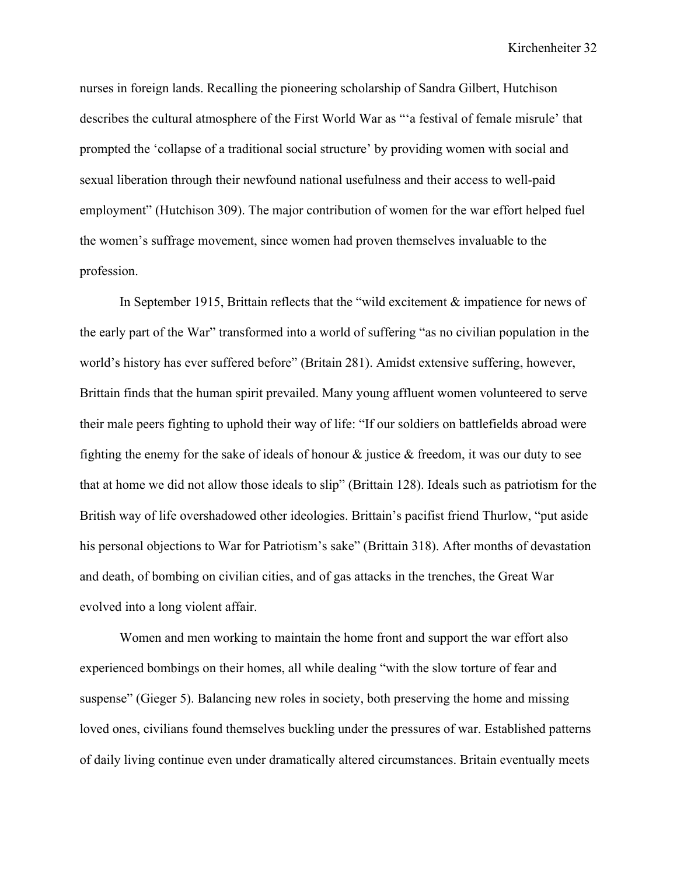nurses in foreign lands. Recalling the pioneering scholarship of Sandra Gilbert, Hutchison describes the cultural atmosphere of the First World War as "'a festival of female misrule' that prompted the 'collapse of a traditional social structure' by providing women with social and sexual liberation through their newfound national usefulness and their access to well-paid employment" (Hutchison 309). The major contribution of women for the war effort helped fuel the women's suffrage movement, since women had proven themselves invaluable to the profession.

In September 1915, Brittain reflects that the "wild excitement & impatience for news of the early part of the War" transformed into a world of suffering "as no civilian population in the world's history has ever suffered before" (Britain 281). Amidst extensive suffering, however, Brittain finds that the human spirit prevailed. Many young affluent women volunteered to serve their male peers fighting to uphold their way of life: "If our soldiers on battlefields abroad were fighting the enemy for the sake of ideals of honour & justice & freedom, it was our duty to see that at home we did not allow those ideals to slip" (Brittain 128). Ideals such as patriotism for the British way of life overshadowed other ideologies. Brittain's pacifist friend Thurlow, "put aside his personal objections to War for Patriotism's sake" (Brittain 318). After months of devastation and death, of bombing on civilian cities, and of gas attacks in the trenches, the Great War evolved into a long violent affair.

Women and men working to maintain the home front and support the war effort also experienced bombings on their homes, all while dealing "with the slow torture of fear and suspense" (Gieger 5). Balancing new roles in society, both preserving the home and missing loved ones, civilians found themselves buckling under the pressures of war. Established patterns of daily living continue even under dramatically altered circumstances. Britain eventually meets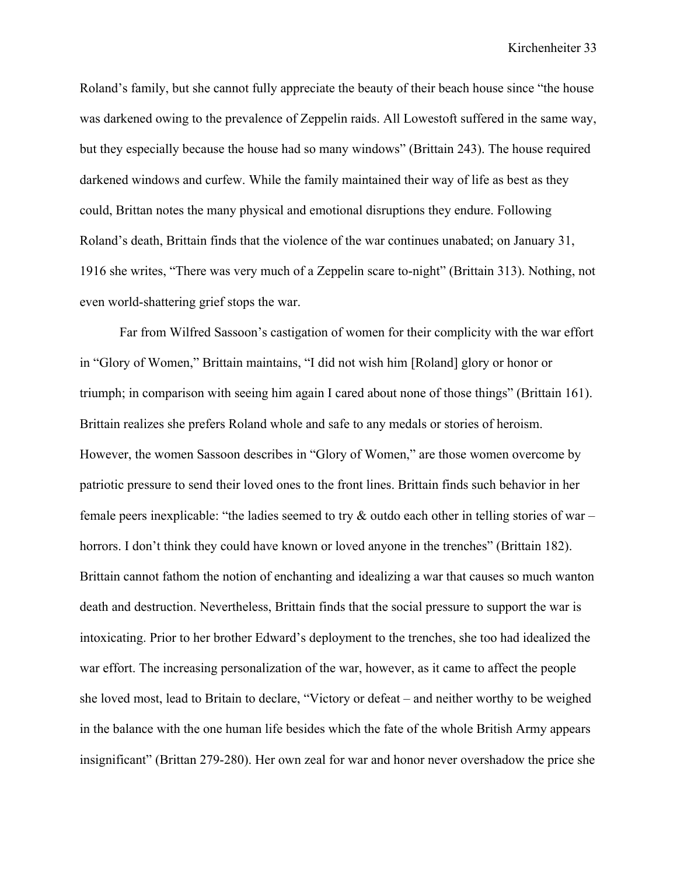Roland's family, but she cannot fully appreciate the beauty of their beach house since "the house was darkened owing to the prevalence of Zeppelin raids. All Lowestoft suffered in the same way, but they especially because the house had so many windows" (Brittain 243). The house required darkened windows and curfew. While the family maintained their way of life as best as they could, Brittan notes the many physical and emotional disruptions they endure. Following Roland's death, Brittain finds that the violence of the war continues unabated; on January 31, 1916 she writes, "There was very much of a Zeppelin scare to-night" (Brittain 313). Nothing, not even world-shattering grief stops the war.

Far from Wilfred Sassoon's castigation of women for their complicity with the war effort in "Glory of Women," Brittain maintains, "I did not wish him [Roland] glory or honor or triumph; in comparison with seeing him again I cared about none of those things" (Brittain 161). Brittain realizes she prefers Roland whole and safe to any medals or stories of heroism. However, the women Sassoon describes in "Glory of Women," are those women overcome by patriotic pressure to send their loved ones to the front lines. Brittain finds such behavior in her female peers inexplicable: "the ladies seemed to try  $\&$  outdo each other in telling stories of war – horrors. I don't think they could have known or loved anyone in the trenches" (Brittain 182). Brittain cannot fathom the notion of enchanting and idealizing a war that causes so much wanton death and destruction. Nevertheless, Brittain finds that the social pressure to support the war is intoxicating. Prior to her brother Edward's deployment to the trenches, she too had idealized the war effort. The increasing personalization of the war, however, as it came to affect the people she loved most, lead to Britain to declare, "Victory or defeat – and neither worthy to be weighed in the balance with the one human life besides which the fate of the whole British Army appears insignificant" (Brittan 279-280). Her own zeal for war and honor never overshadow the price she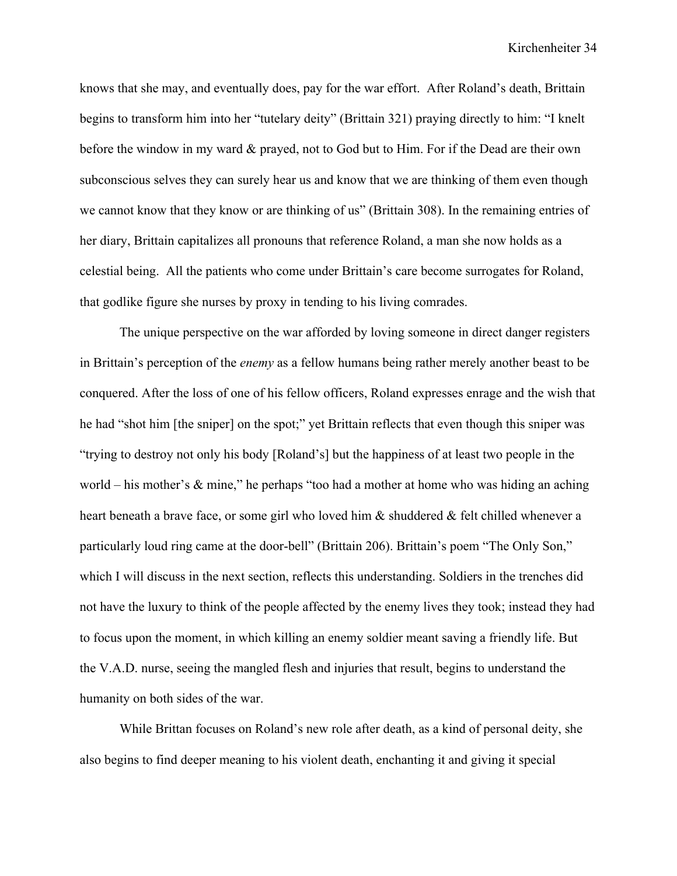knows that she may, and eventually does, pay for the war effort. After Roland's death, Brittain begins to transform him into her "tutelary deity" (Brittain 321) praying directly to him: "I knelt before the window in my ward & prayed, not to God but to Him. For if the Dead are their own subconscious selves they can surely hear us and know that we are thinking of them even though we cannot know that they know or are thinking of us" (Brittain 308). In the remaining entries of her diary, Brittain capitalizes all pronouns that reference Roland, a man she now holds as a celestial being. All the patients who come under Brittain's care become surrogates for Roland, that godlike figure she nurses by proxy in tending to his living comrades.

The unique perspective on the war afforded by loving someone in direct danger registers in Brittain's perception of the *enemy* as a fellow humans being rather merely another beast to be conquered. After the loss of one of his fellow officers, Roland expresses enrage and the wish that he had "shot him [the sniper] on the spot;" yet Brittain reflects that even though this sniper was "trying to destroy not only his body [Roland's] but the happiness of at least two people in the world – his mother's  $\&$  mine," he perhaps "too had a mother at home who was hiding an aching heart beneath a brave face, or some girl who loved him & shuddered & felt chilled whenever a particularly loud ring came at the door-bell" (Brittain 206). Brittain's poem "The Only Son," which I will discuss in the next section, reflects this understanding. Soldiers in the trenches did not have the luxury to think of the people affected by the enemy lives they took; instead they had to focus upon the moment, in which killing an enemy soldier meant saving a friendly life. But the V.A.D. nurse, seeing the mangled flesh and injuries that result, begins to understand the humanity on both sides of the war.

While Brittan focuses on Roland's new role after death, as a kind of personal deity, she also begins to find deeper meaning to his violent death, enchanting it and giving it special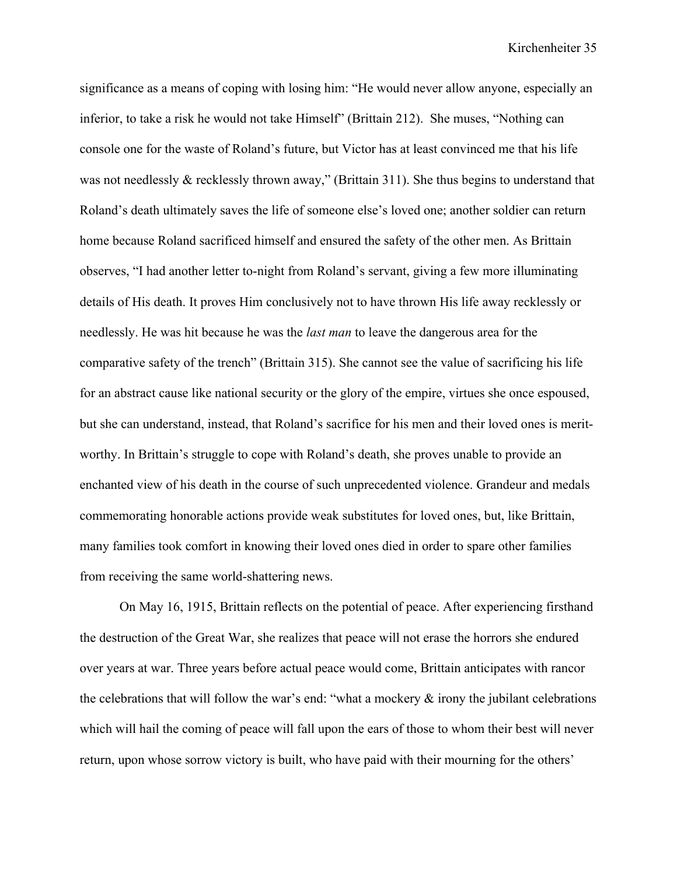significance as a means of coping with losing him: "He would never allow anyone, especially an inferior, to take a risk he would not take Himself" (Brittain 212). She muses, "Nothing can console one for the waste of Roland's future, but Victor has at least convinced me that his life was not needlessly & recklessly thrown away," (Brittain 311). She thus begins to understand that Roland's death ultimately saves the life of someone else's loved one; another soldier can return home because Roland sacrificed himself and ensured the safety of the other men. As Brittain observes, "I had another letter to-night from Roland's servant, giving a few more illuminating details of His death. It proves Him conclusively not to have thrown His life away recklessly or needlessly. He was hit because he was the *last man* to leave the dangerous area for the comparative safety of the trench" (Brittain 315). She cannot see the value of sacrificing his life for an abstract cause like national security or the glory of the empire, virtues she once espoused, but she can understand, instead, that Roland's sacrifice for his men and their loved ones is meritworthy. In Brittain's struggle to cope with Roland's death, she proves unable to provide an enchanted view of his death in the course of such unprecedented violence. Grandeur and medals commemorating honorable actions provide weak substitutes for loved ones, but, like Brittain, many families took comfort in knowing their loved ones died in order to spare other families from receiving the same world-shattering news.

On May 16, 1915, Brittain reflects on the potential of peace. After experiencing firsthand the destruction of the Great War, she realizes that peace will not erase the horrors she endured over years at war. Three years before actual peace would come, Brittain anticipates with rancor the celebrations that will follow the war's end: "what a mockery  $\&$  irony the jubilant celebrations which will hail the coming of peace will fall upon the ears of those to whom their best will never return, upon whose sorrow victory is built, who have paid with their mourning for the others'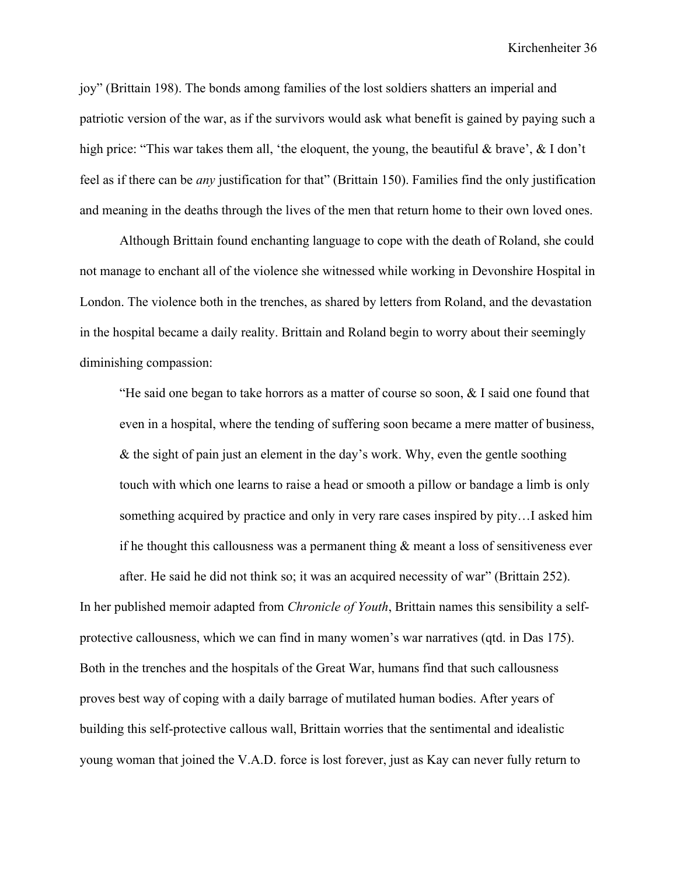joy" (Brittain 198). The bonds among families of the lost soldiers shatters an imperial and patriotic version of the war, as if the survivors would ask what benefit is gained by paying such a high price: "This war takes them all, 'the eloquent, the young, the beautiful & brave', & I don't feel as if there can be *any* justification for that" (Brittain 150). Families find the only justification and meaning in the deaths through the lives of the men that return home to their own loved ones.

Although Brittain found enchanting language to cope with the death of Roland, she could not manage to enchant all of the violence she witnessed while working in Devonshire Hospital in London. The violence both in the trenches, as shared by letters from Roland, and the devastation in the hospital became a daily reality. Brittain and Roland begin to worry about their seemingly diminishing compassion:

"He said one began to take horrors as a matter of course so soon,  $&$  I said one found that even in a hospital, where the tending of suffering soon became a mere matter of business, & the sight of pain just an element in the day's work. Why, even the gentle soothing touch with which one learns to raise a head or smooth a pillow or bandage a limb is only something acquired by practice and only in very rare cases inspired by pity…I asked him if he thought this callousness was a permanent thing  $\&$  meant a loss of sensitiveness ever after. He said he did not think so; it was an acquired necessity of war" (Brittain 252).

In her published memoir adapted from *Chronicle of Youth*, Brittain names this sensibility a selfprotective callousness, which we can find in many women's war narratives (qtd. in Das 175). Both in the trenches and the hospitals of the Great War, humans find that such callousness proves best way of coping with a daily barrage of mutilated human bodies. After years of building this self-protective callous wall, Brittain worries that the sentimental and idealistic young woman that joined the V.A.D. force is lost forever, just as Kay can never fully return to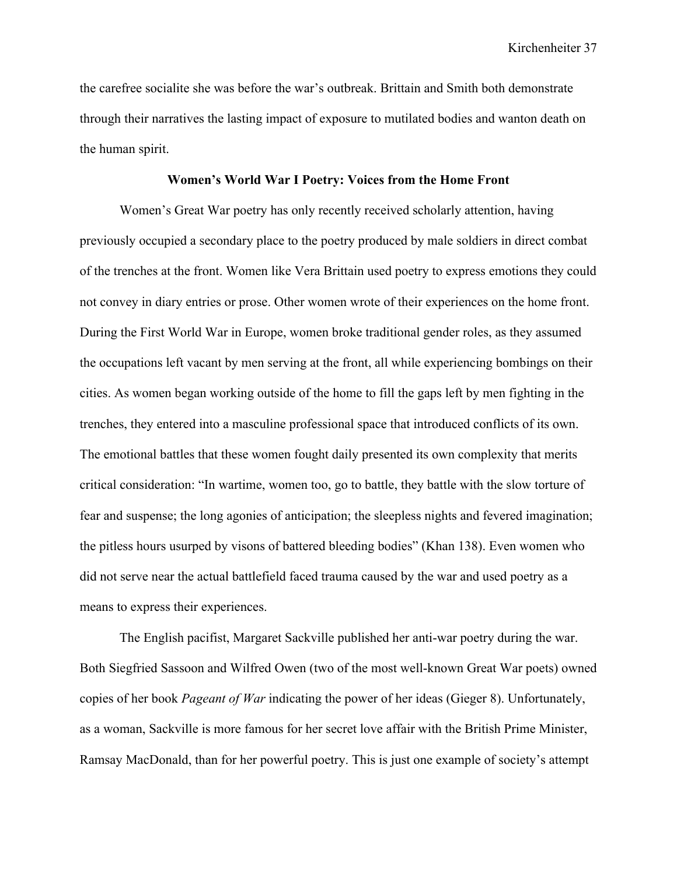the carefree socialite she was before the war's outbreak. Brittain and Smith both demonstrate through their narratives the lasting impact of exposure to mutilated bodies and wanton death on the human spirit.

## **Women's World War I Poetry: Voices from the Home Front**

Women's Great War poetry has only recently received scholarly attention, having previously occupied a secondary place to the poetry produced by male soldiers in direct combat of the trenches at the front. Women like Vera Brittain used poetry to express emotions they could not convey in diary entries or prose. Other women wrote of their experiences on the home front. During the First World War in Europe, women broke traditional gender roles, as they assumed the occupations left vacant by men serving at the front, all while experiencing bombings on their cities. As women began working outside of the home to fill the gaps left by men fighting in the trenches, they entered into a masculine professional space that introduced conflicts of its own. The emotional battles that these women fought daily presented its own complexity that merits critical consideration: "In wartime, women too, go to battle, they battle with the slow torture of fear and suspense; the long agonies of anticipation; the sleepless nights and fevered imagination; the pitless hours usurped by visons of battered bleeding bodies" (Khan 138). Even women who did not serve near the actual battlefield faced trauma caused by the war and used poetry as a means to express their experiences.

The English pacifist, Margaret Sackville published her anti-war poetry during the war. Both Siegfried Sassoon and Wilfred Owen (two of the most well-known Great War poets) owned copies of her book *Pageant of War* indicating the power of her ideas (Gieger 8). Unfortunately, as a woman, Sackville is more famous for her secret love affair with the British Prime Minister, Ramsay MacDonald, than for her powerful poetry. This is just one example of society's attempt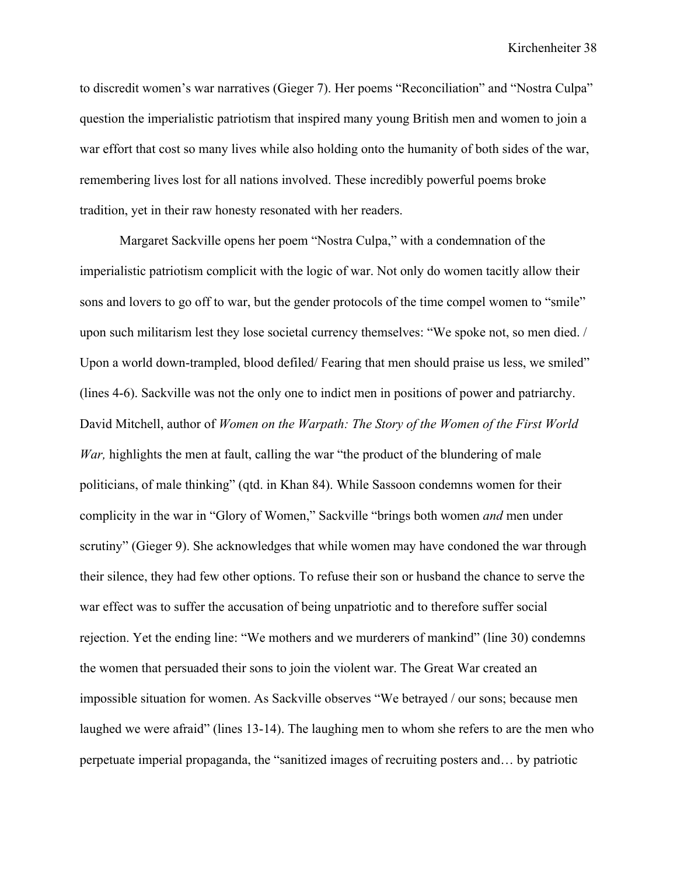to discredit women's war narratives (Gieger 7). Her poems "Reconciliation" and "Nostra Culpa" question the imperialistic patriotism that inspired many young British men and women to join a war effort that cost so many lives while also holding onto the humanity of both sides of the war, remembering lives lost for all nations involved. These incredibly powerful poems broke tradition, yet in their raw honesty resonated with her readers.

Margaret Sackville opens her poem "Nostra Culpa," with a condemnation of the imperialistic patriotism complicit with the logic of war. Not only do women tacitly allow their sons and lovers to go off to war, but the gender protocols of the time compel women to "smile" upon such militarism lest they lose societal currency themselves: "We spoke not, so men died. / Upon a world down-trampled, blood defiled/ Fearing that men should praise us less, we smiled" (lines 4-6). Sackville was not the only one to indict men in positions of power and patriarchy. David Mitchell, author of *Women on the Warpath: The Story of the Women of the First World War*, highlights the men at fault, calling the war "the product of the blundering of male politicians, of male thinking" (qtd. in Khan 84). While Sassoon condemns women for their complicity in the war in "Glory of Women," Sackville "brings both women *and* men under scrutiny" (Gieger 9). She acknowledges that while women may have condoned the war through their silence, they had few other options. To refuse their son or husband the chance to serve the war effect was to suffer the accusation of being unpatriotic and to therefore suffer social rejection. Yet the ending line: "We mothers and we murderers of mankind" (line 30) condemns the women that persuaded their sons to join the violent war. The Great War created an impossible situation for women. As Sackville observes "We betrayed / our sons; because men laughed we were afraid" (lines 13-14). The laughing men to whom she refers to are the men who perpetuate imperial propaganda, the "sanitized images of recruiting posters and… by patriotic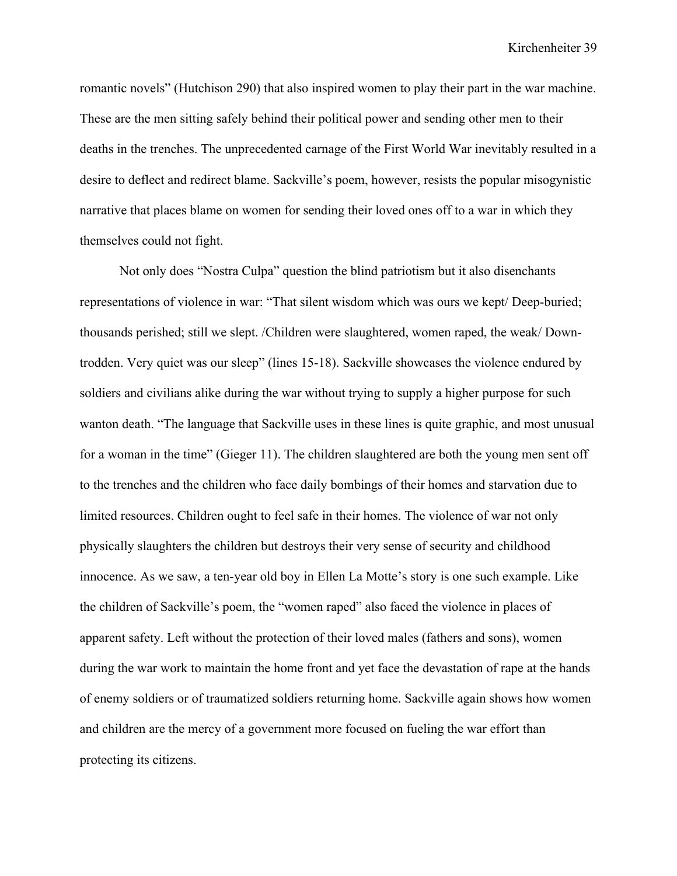romantic novels" (Hutchison 290) that also inspired women to play their part in the war machine. These are the men sitting safely behind their political power and sending other men to their deaths in the trenches. The unprecedented carnage of the First World War inevitably resulted in a desire to deflect and redirect blame. Sackville's poem, however, resists the popular misogynistic narrative that places blame on women for sending their loved ones off to a war in which they themselves could not fight.

Not only does "Nostra Culpa" question the blind patriotism but it also disenchants representations of violence in war: "That silent wisdom which was ours we kept/ Deep-buried; thousands perished; still we slept. /Children were slaughtered, women raped, the weak/ Downtrodden. Very quiet was our sleep" (lines 15-18). Sackville showcases the violence endured by soldiers and civilians alike during the war without trying to supply a higher purpose for such wanton death. "The language that Sackville uses in these lines is quite graphic, and most unusual for a woman in the time" (Gieger 11). The children slaughtered are both the young men sent off to the trenches and the children who face daily bombings of their homes and starvation due to limited resources. Children ought to feel safe in their homes. The violence of war not only physically slaughters the children but destroys their very sense of security and childhood innocence. As we saw, a ten-year old boy in Ellen La Motte's story is one such example. Like the children of Sackville's poem, the "women raped" also faced the violence in places of apparent safety. Left without the protection of their loved males (fathers and sons), women during the war work to maintain the home front and yet face the devastation of rape at the hands of enemy soldiers or of traumatized soldiers returning home. Sackville again shows how women and children are the mercy of a government more focused on fueling the war effort than protecting its citizens.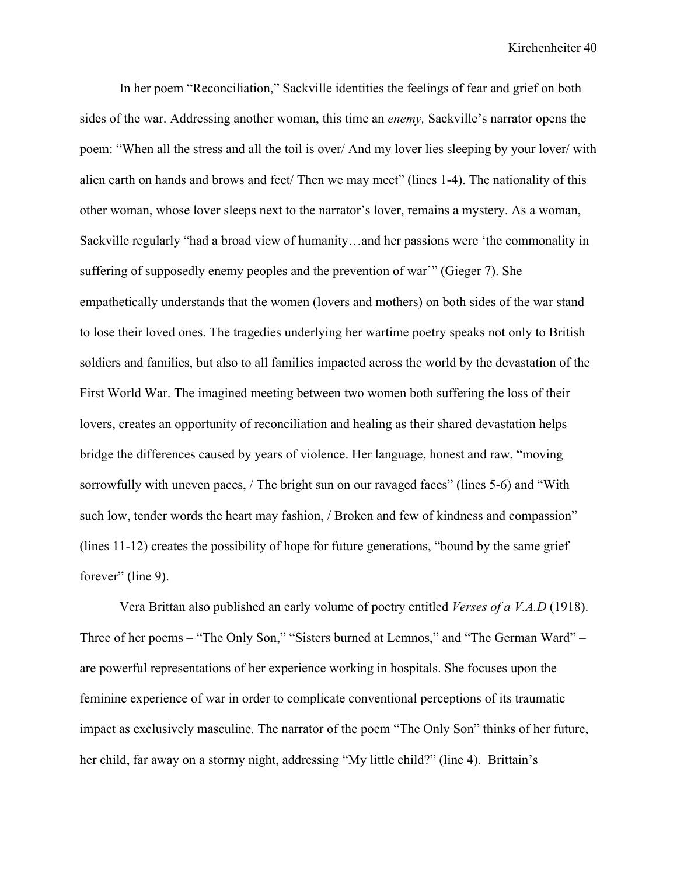In her poem "Reconciliation," Sackville identities the feelings of fear and grief on both sides of the war. Addressing another woman, this time an *enemy,* Sackville's narrator opens the poem: "When all the stress and all the toil is over/ And my lover lies sleeping by your lover/ with alien earth on hands and brows and feet/ Then we may meet" (lines 1-4). The nationality of this other woman, whose lover sleeps next to the narrator's lover, remains a mystery. As a woman, Sackville regularly "had a broad view of humanity…and her passions were 'the commonality in suffering of supposedly enemy peoples and the prevention of war'" (Gieger 7). She empathetically understands that the women (lovers and mothers) on both sides of the war stand to lose their loved ones. The tragedies underlying her wartime poetry speaks not only to British soldiers and families, but also to all families impacted across the world by the devastation of the First World War. The imagined meeting between two women both suffering the loss of their lovers, creates an opportunity of reconciliation and healing as their shared devastation helps bridge the differences caused by years of violence. Her language, honest and raw, "moving sorrowfully with uneven paces, / The bright sun on our ravaged faces" (lines 5-6) and "With such low, tender words the heart may fashion, / Broken and few of kindness and compassion" (lines 11-12) creates the possibility of hope for future generations, "bound by the same grief forever" (line 9).

Vera Brittan also published an early volume of poetry entitled *Verses of a V.A.D* (1918). Three of her poems – "The Only Son," "Sisters burned at Lemnos," and "The German Ward" – are powerful representations of her experience working in hospitals. She focuses upon the feminine experience of war in order to complicate conventional perceptions of its traumatic impact as exclusively masculine. The narrator of the poem "The Only Son" thinks of her future, her child, far away on a stormy night, addressing "My little child?" (line 4). Brittain's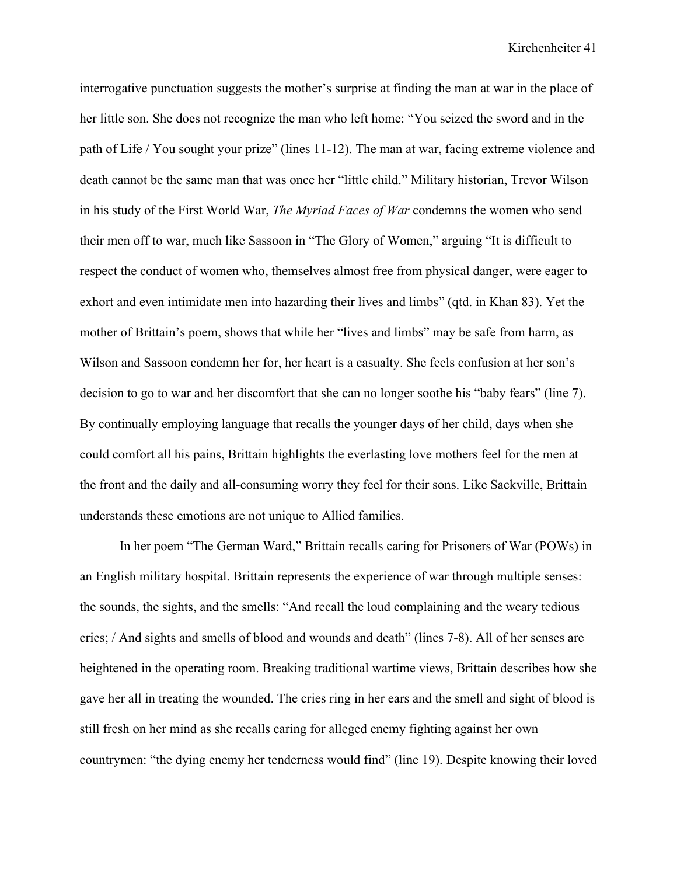interrogative punctuation suggests the mother's surprise at finding the man at war in the place of her little son. She does not recognize the man who left home: "You seized the sword and in the path of Life / You sought your prize" (lines 11-12). The man at war, facing extreme violence and death cannot be the same man that was once her "little child." Military historian, Trevor Wilson in his study of the First World War, *The Myriad Faces of War* condemns the women who send their men off to war, much like Sassoon in "The Glory of Women," arguing "It is difficult to respect the conduct of women who, themselves almost free from physical danger, were eager to exhort and even intimidate men into hazarding their lives and limbs" (qtd. in Khan 83). Yet the mother of Brittain's poem, shows that while her "lives and limbs" may be safe from harm, as Wilson and Sassoon condemn her for, her heart is a casualty. She feels confusion at her son's decision to go to war and her discomfort that she can no longer soothe his "baby fears" (line 7). By continually employing language that recalls the younger days of her child, days when she could comfort all his pains, Brittain highlights the everlasting love mothers feel for the men at the front and the daily and all-consuming worry they feel for their sons. Like Sackville, Brittain understands these emotions are not unique to Allied families.

In her poem "The German Ward," Brittain recalls caring for Prisoners of War (POWs) in an English military hospital. Brittain represents the experience of war through multiple senses: the sounds, the sights, and the smells: "And recall the loud complaining and the weary tedious cries; / And sights and smells of blood and wounds and death" (lines 7-8). All of her senses are heightened in the operating room. Breaking traditional wartime views, Brittain describes how she gave her all in treating the wounded. The cries ring in her ears and the smell and sight of blood is still fresh on her mind as she recalls caring for alleged enemy fighting against her own countrymen: "the dying enemy her tenderness would find" (line 19). Despite knowing their loved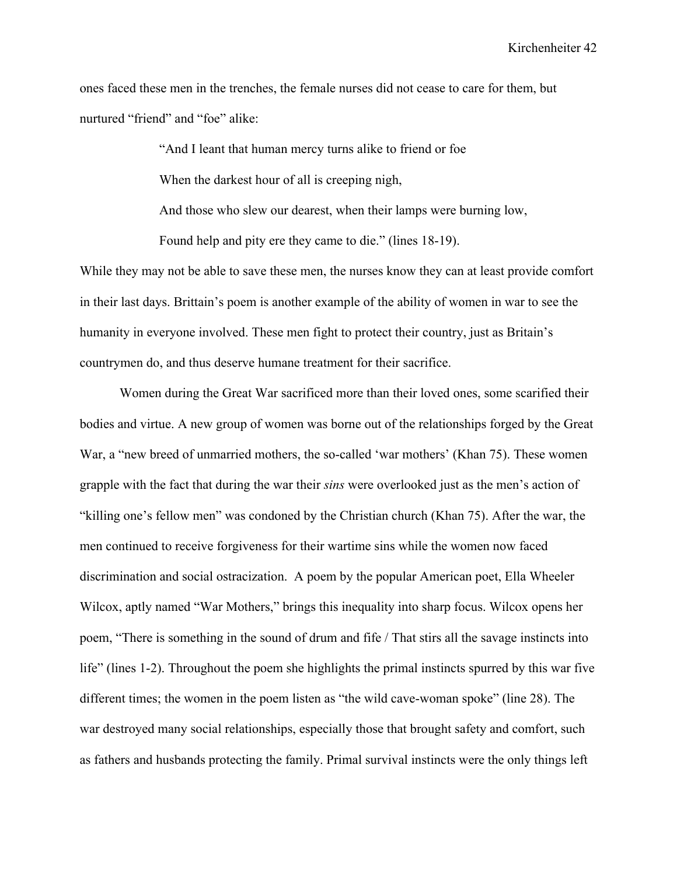ones faced these men in the trenches, the female nurses did not cease to care for them, but nurtured "friend" and "foe" alike:

> "And I leant that human mercy turns alike to friend or foe When the darkest hour of all is creeping nigh, And those who slew our dearest, when their lamps were burning low, Found help and pity ere they came to die." (lines 18-19).

While they may not be able to save these men, the nurses know they can at least provide comfort in their last days. Brittain's poem is another example of the ability of women in war to see the humanity in everyone involved. These men fight to protect their country, just as Britain's countrymen do, and thus deserve humane treatment for their sacrifice.

Women during the Great War sacrificed more than their loved ones, some scarified their bodies and virtue. A new group of women was borne out of the relationships forged by the Great War, a "new breed of unmarried mothers, the so-called 'war mothers' (Khan 75). These women grapple with the fact that during the war their *sins* were overlooked just as the men's action of "killing one's fellow men" was condoned by the Christian church (Khan 75). After the war, the men continued to receive forgiveness for their wartime sins while the women now faced discrimination and social ostracization. A poem by the popular American poet, Ella Wheeler Wilcox, aptly named "War Mothers," brings this inequality into sharp focus. Wilcox opens her poem, "There is something in the sound of drum and fife / That stirs all the savage instincts into life" (lines 1-2). Throughout the poem she highlights the primal instincts spurred by this war five different times; the women in the poem listen as "the wild cave-woman spoke" (line 28). The war destroyed many social relationships, especially those that brought safety and comfort, such as fathers and husbands protecting the family. Primal survival instincts were the only things left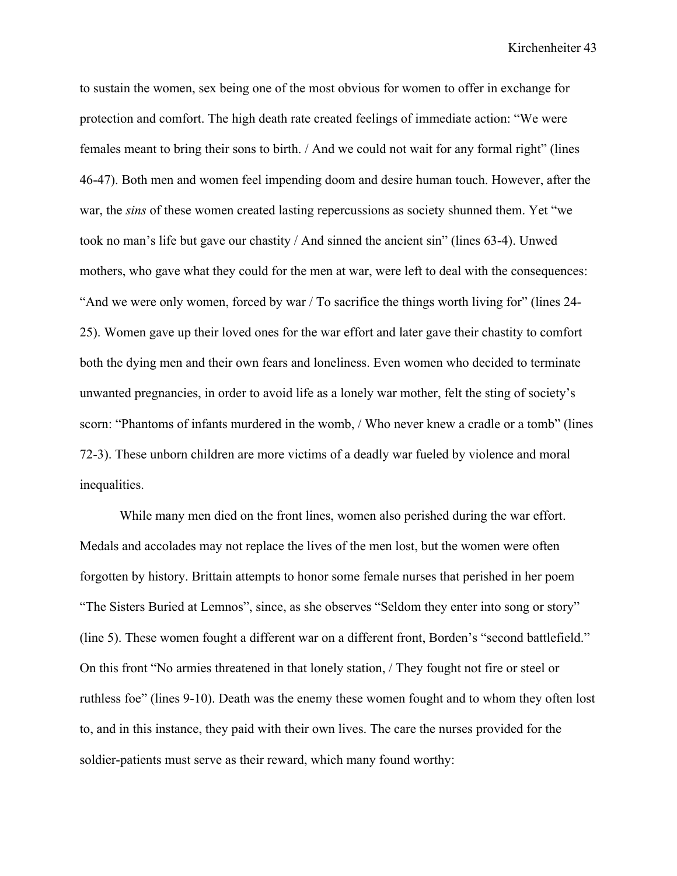to sustain the women, sex being one of the most obvious for women to offer in exchange for protection and comfort. The high death rate created feelings of immediate action: "We were females meant to bring their sons to birth. / And we could not wait for any formal right" (lines 46-47). Both men and women feel impending doom and desire human touch. However, after the war, the *sins* of these women created lasting repercussions as society shunned them. Yet "we took no man's life but gave our chastity / And sinned the ancient sin" (lines 63-4). Unwed mothers, who gave what they could for the men at war, were left to deal with the consequences: "And we were only women, forced by war / To sacrifice the things worth living for" (lines  $24$ -25). Women gave up their loved ones for the war effort and later gave their chastity to comfort both the dying men and their own fears and loneliness. Even women who decided to terminate unwanted pregnancies, in order to avoid life as a lonely war mother, felt the sting of society's scorn: "Phantoms of infants murdered in the womb, / Who never knew a cradle or a tomb" (lines 72-3). These unborn children are more victims of a deadly war fueled by violence and moral inequalities.

While many men died on the front lines, women also perished during the war effort. Medals and accolades may not replace the lives of the men lost, but the women were often forgotten by history. Brittain attempts to honor some female nurses that perished in her poem "The Sisters Buried at Lemnos", since, as she observes "Seldom they enter into song or story" (line 5). These women fought a different war on a different front, Borden's "second battlefield." On this front "No armies threatened in that lonely station, / They fought not fire or steel or ruthless foe" (lines 9-10). Death was the enemy these women fought and to whom they often lost to, and in this instance, they paid with their own lives. The care the nurses provided for the soldier-patients must serve as their reward, which many found worthy: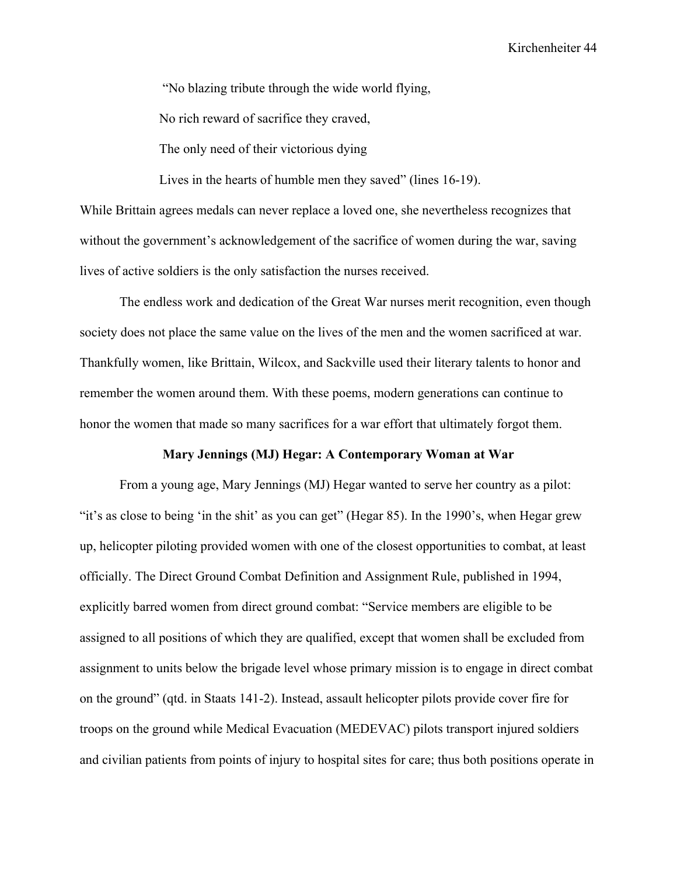"No blazing tribute through the wide world flying,

No rich reward of sacrifice they craved,

The only need of their victorious dying

Lives in the hearts of humble men they saved" (lines 16-19).

While Brittain agrees medals can never replace a loved one, she nevertheless recognizes that without the government's acknowledgement of the sacrifice of women during the war, saving lives of active soldiers is the only satisfaction the nurses received.

The endless work and dedication of the Great War nurses merit recognition, even though society does not place the same value on the lives of the men and the women sacrificed at war. Thankfully women, like Brittain, Wilcox, and Sackville used their literary talents to honor and remember the women around them. With these poems, modern generations can continue to honor the women that made so many sacrifices for a war effort that ultimately forgot them.

#### **Mary Jennings (MJ) Hegar: A Contemporary Woman at War**

From a young age, Mary Jennings (MJ) Hegar wanted to serve her country as a pilot: "it's as close to being 'in the shit' as you can get" (Hegar 85). In the 1990's, when Hegar grew up, helicopter piloting provided women with one of the closest opportunities to combat, at least officially. The Direct Ground Combat Definition and Assignment Rule, published in 1994, explicitly barred women from direct ground combat: "Service members are eligible to be assigned to all positions of which they are qualified, except that women shall be excluded from assignment to units below the brigade level whose primary mission is to engage in direct combat on the ground" (qtd. in Staats 141-2). Instead, assault helicopter pilots provide cover fire for troops on the ground while Medical Evacuation (MEDEVAC) pilots transport injured soldiers and civilian patients from points of injury to hospital sites for care; thus both positions operate in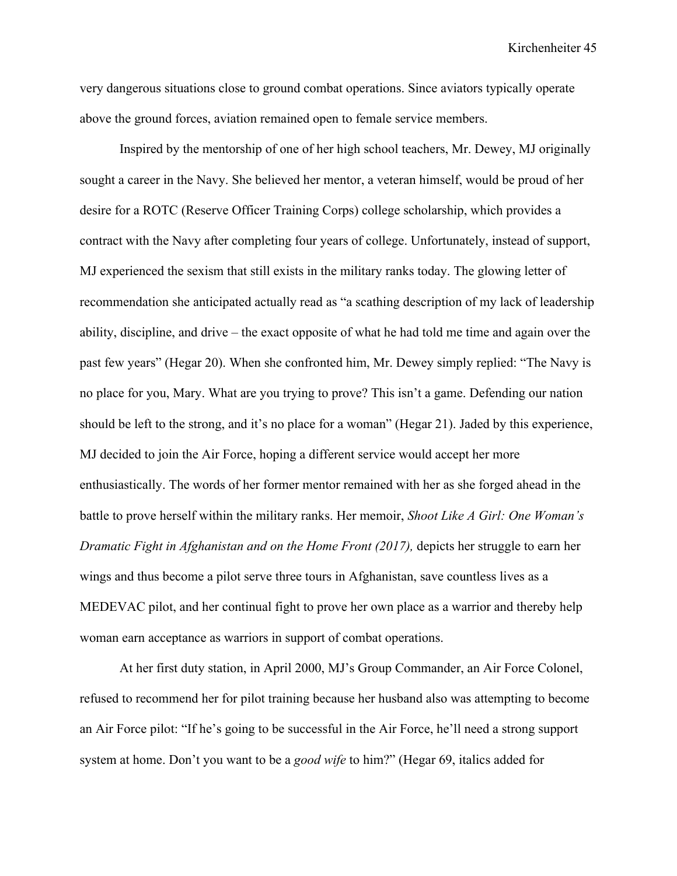very dangerous situations close to ground combat operations. Since aviators typically operate above the ground forces, aviation remained open to female service members.

Inspired by the mentorship of one of her high school teachers, Mr. Dewey, MJ originally sought a career in the Navy. She believed her mentor, a veteran himself, would be proud of her desire for a ROTC (Reserve Officer Training Corps) college scholarship, which provides a contract with the Navy after completing four years of college. Unfortunately, instead of support, MJ experienced the sexism that still exists in the military ranks today. The glowing letter of recommendation she anticipated actually read as "a scathing description of my lack of leadership ability, discipline, and drive – the exact opposite of what he had told me time and again over the past few years" (Hegar 20). When she confronted him, Mr. Dewey simply replied: "The Navy is no place for you, Mary. What are you trying to prove? This isn't a game. Defending our nation should be left to the strong, and it's no place for a woman" (Hegar 21). Jaded by this experience, MJ decided to join the Air Force, hoping a different service would accept her more enthusiastically. The words of her former mentor remained with her as she forged ahead in the battle to prove herself within the military ranks. Her memoir, *Shoot Like A Girl: One Woman's Dramatic Fight in Afghanistan and on the Home Front (2017),* depicts her struggle to earn her wings and thus become a pilot serve three tours in Afghanistan, save countless lives as a MEDEVAC pilot, and her continual fight to prove her own place as a warrior and thereby help woman earn acceptance as warriors in support of combat operations.

At her first duty station, in April 2000, MJ's Group Commander, an Air Force Colonel, refused to recommend her for pilot training because her husband also was attempting to become an Air Force pilot: "If he's going to be successful in the Air Force, he'll need a strong support system at home. Don't you want to be a *good wife* to him?" (Hegar 69, italics added for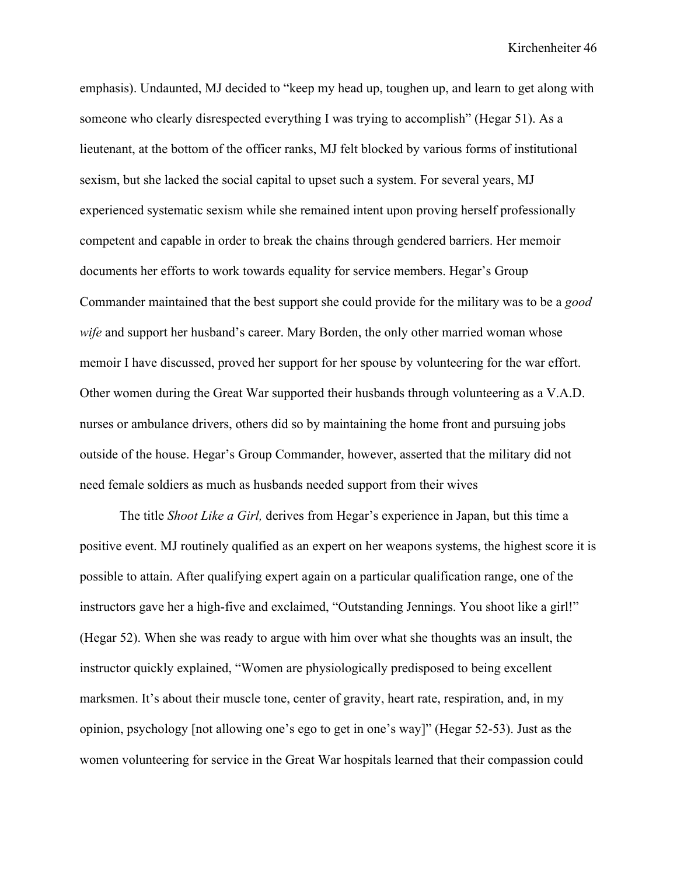emphasis). Undaunted, MJ decided to "keep my head up, toughen up, and learn to get along with someone who clearly disrespected everything I was trying to accomplish" (Hegar 51). As a lieutenant, at the bottom of the officer ranks, MJ felt blocked by various forms of institutional sexism, but she lacked the social capital to upset such a system. For several years, MJ experienced systematic sexism while she remained intent upon proving herself professionally competent and capable in order to break the chains through gendered barriers. Her memoir documents her efforts to work towards equality for service members. Hegar's Group Commander maintained that the best support she could provide for the military was to be a *good wife* and support her husband's career. Mary Borden, the only other married woman whose memoir I have discussed, proved her support for her spouse by volunteering for the war effort. Other women during the Great War supported their husbands through volunteering as a V.A.D. nurses or ambulance drivers, others did so by maintaining the home front and pursuing jobs outside of the house. Hegar's Group Commander, however, asserted that the military did not need female soldiers as much as husbands needed support from their wives

The title *Shoot Like a Girl,* derives from Hegar's experience in Japan, but this time a positive event. MJ routinely qualified as an expert on her weapons systems, the highest score it is possible to attain. After qualifying expert again on a particular qualification range, one of the instructors gave her a high-five and exclaimed, "Outstanding Jennings. You shoot like a girl!" (Hegar 52). When she was ready to argue with him over what she thoughts was an insult, the instructor quickly explained, "Women are physiologically predisposed to being excellent marksmen. It's about their muscle tone, center of gravity, heart rate, respiration, and, in my opinion, psychology [not allowing one's ego to get in one's way]" (Hegar 52-53). Just as the women volunteering for service in the Great War hospitals learned that their compassion could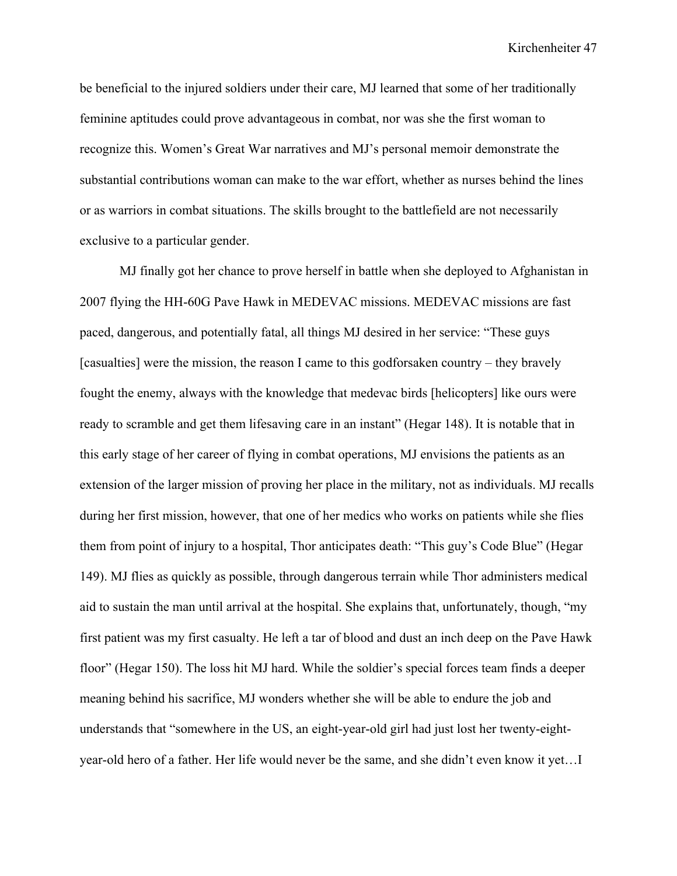be beneficial to the injured soldiers under their care, MJ learned that some of her traditionally feminine aptitudes could prove advantageous in combat, nor was she the first woman to recognize this. Women's Great War narratives and MJ's personal memoir demonstrate the substantial contributions woman can make to the war effort, whether as nurses behind the lines or as warriors in combat situations. The skills brought to the battlefield are not necessarily exclusive to a particular gender.

MJ finally got her chance to prove herself in battle when she deployed to Afghanistan in 2007 flying the HH-60G Pave Hawk in MEDEVAC missions. MEDEVAC missions are fast paced, dangerous, and potentially fatal, all things MJ desired in her service: "These guys [casualties] were the mission, the reason I came to this godforsaken country – they bravely fought the enemy, always with the knowledge that medevac birds [helicopters] like ours were ready to scramble and get them lifesaving care in an instant" (Hegar 148). It is notable that in this early stage of her career of flying in combat operations, MJ envisions the patients as an extension of the larger mission of proving her place in the military, not as individuals. MJ recalls during her first mission, however, that one of her medics who works on patients while she flies them from point of injury to a hospital, Thor anticipates death: "This guy's Code Blue" (Hegar 149). MJ flies as quickly as possible, through dangerous terrain while Thor administers medical aid to sustain the man until arrival at the hospital. She explains that, unfortunately, though, "my first patient was my first casualty. He left a tar of blood and dust an inch deep on the Pave Hawk floor" (Hegar 150). The loss hit MJ hard. While the soldier's special forces team finds a deeper meaning behind his sacrifice, MJ wonders whether she will be able to endure the job and understands that "somewhere in the US, an eight-year-old girl had just lost her twenty-eightyear-old hero of a father. Her life would never be the same, and she didn't even know it yet…I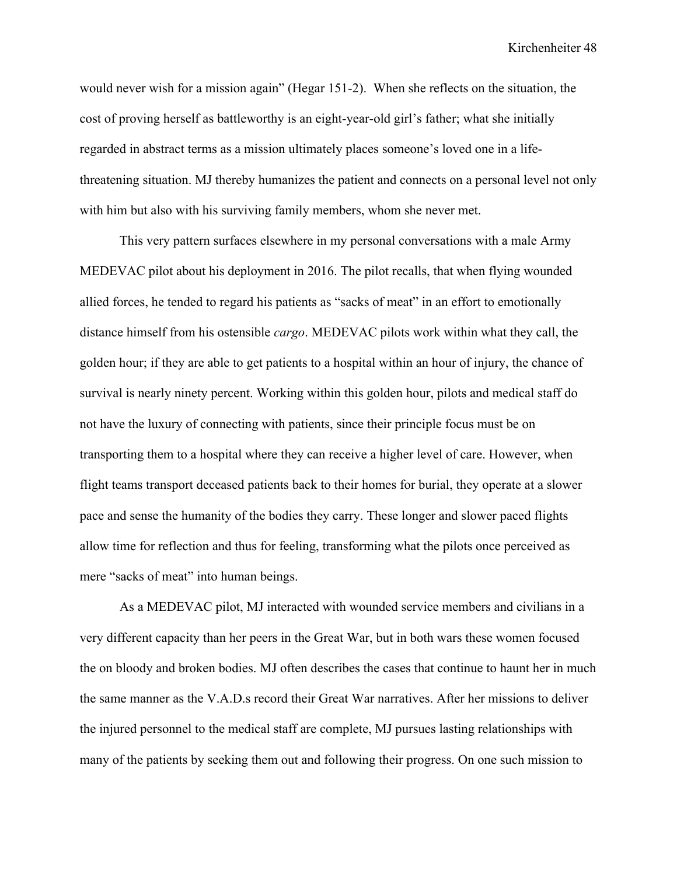would never wish for a mission again" (Hegar 151-2). When she reflects on the situation, the cost of proving herself as battleworthy is an eight-year-old girl's father; what she initially regarded in abstract terms as a mission ultimately places someone's loved one in a lifethreatening situation. MJ thereby humanizes the patient and connects on a personal level not only with him but also with his surviving family members, whom she never met.

This very pattern surfaces elsewhere in my personal conversations with a male Army MEDEVAC pilot about his deployment in 2016. The pilot recalls, that when flying wounded allied forces, he tended to regard his patients as "sacks of meat" in an effort to emotionally distance himself from his ostensible *cargo*. MEDEVAC pilots work within what they call, the golden hour; if they are able to get patients to a hospital within an hour of injury, the chance of survival is nearly ninety percent. Working within this golden hour, pilots and medical staff do not have the luxury of connecting with patients, since their principle focus must be on transporting them to a hospital where they can receive a higher level of care. However, when flight teams transport deceased patients back to their homes for burial, they operate at a slower pace and sense the humanity of the bodies they carry. These longer and slower paced flights allow time for reflection and thus for feeling, transforming what the pilots once perceived as mere "sacks of meat" into human beings.

As a MEDEVAC pilot, MJ interacted with wounded service members and civilians in a very different capacity than her peers in the Great War, but in both wars these women focused the on bloody and broken bodies. MJ often describes the cases that continue to haunt her in much the same manner as the V.A.D.s record their Great War narratives. After her missions to deliver the injured personnel to the medical staff are complete, MJ pursues lasting relationships with many of the patients by seeking them out and following their progress. On one such mission to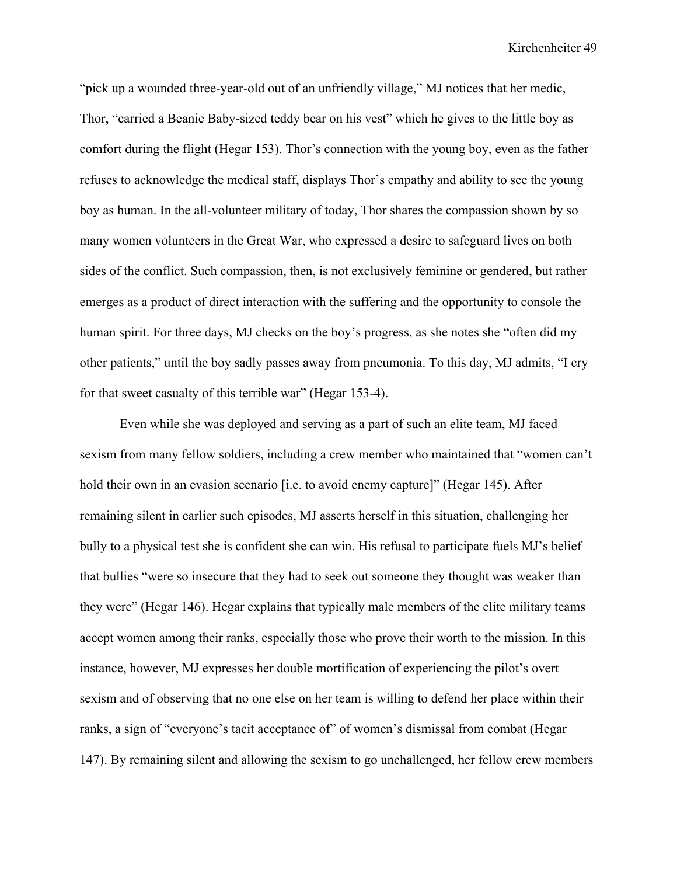"pick up a wounded three-year-old out of an unfriendly village," MJ notices that her medic, Thor, "carried a Beanie Baby-sized teddy bear on his vest" which he gives to the little boy as comfort during the flight (Hegar 153). Thor's connection with the young boy, even as the father refuses to acknowledge the medical staff, displays Thor's empathy and ability to see the young boy as human. In the all-volunteer military of today, Thor shares the compassion shown by so many women volunteers in the Great War, who expressed a desire to safeguard lives on both sides of the conflict. Such compassion, then, is not exclusively feminine or gendered, but rather emerges as a product of direct interaction with the suffering and the opportunity to console the human spirit. For three days, MJ checks on the boy's progress, as she notes she "often did my other patients," until the boy sadly passes away from pneumonia. To this day, MJ admits, "I cry for that sweet casualty of this terrible war" (Hegar 153-4).

Even while she was deployed and serving as a part of such an elite team, MJ faced sexism from many fellow soldiers, including a crew member who maintained that "women can't hold their own in an evasion scenario *[i.e. to avoid enemy capture]*" (Hegar 145). After remaining silent in earlier such episodes, MJ asserts herself in this situation, challenging her bully to a physical test she is confident she can win. His refusal to participate fuels MJ's belief that bullies "were so insecure that they had to seek out someone they thought was weaker than they were" (Hegar 146). Hegar explains that typically male members of the elite military teams accept women among their ranks, especially those who prove their worth to the mission. In this instance, however, MJ expresses her double mortification of experiencing the pilot's overt sexism and of observing that no one else on her team is willing to defend her place within their ranks, a sign of "everyone's tacit acceptance of" of women's dismissal from combat (Hegar 147). By remaining silent and allowing the sexism to go unchallenged, her fellow crew members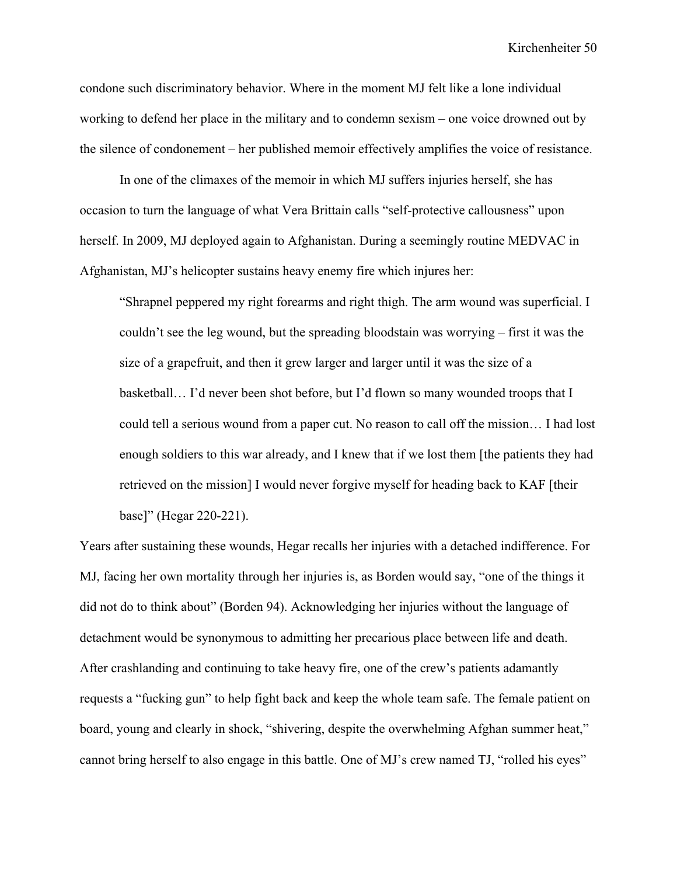condone such discriminatory behavior. Where in the moment MJ felt like a lone individual working to defend her place in the military and to condemn sexism – one voice drowned out by the silence of condonement – her published memoir effectively amplifies the voice of resistance.

In one of the climaxes of the memoir in which MJ suffers injuries herself, she has occasion to turn the language of what Vera Brittain calls "self-protective callousness" upon herself. In 2009, MJ deployed again to Afghanistan. During a seemingly routine MEDVAC in Afghanistan, MJ's helicopter sustains heavy enemy fire which injures her:

"Shrapnel peppered my right forearms and right thigh. The arm wound was superficial. I couldn't see the leg wound, but the spreading bloodstain was worrying – first it was the size of a grapefruit, and then it grew larger and larger until it was the size of a basketball… I'd never been shot before, but I'd flown so many wounded troops that I could tell a serious wound from a paper cut. No reason to call off the mission… I had lost enough soldiers to this war already, and I knew that if we lost them [the patients they had retrieved on the mission] I would never forgive myself for heading back to KAF [their base]" (Hegar 220-221).

Years after sustaining these wounds, Hegar recalls her injuries with a detached indifference. For MJ, facing her own mortality through her injuries is, as Borden would say, "one of the things it did not do to think about" (Borden 94). Acknowledging her injuries without the language of detachment would be synonymous to admitting her precarious place between life and death. After crashlanding and continuing to take heavy fire, one of the crew's patients adamantly requests a "fucking gun" to help fight back and keep the whole team safe. The female patient on board, young and clearly in shock, "shivering, despite the overwhelming Afghan summer heat," cannot bring herself to also engage in this battle. One of MJ's crew named TJ, "rolled his eyes"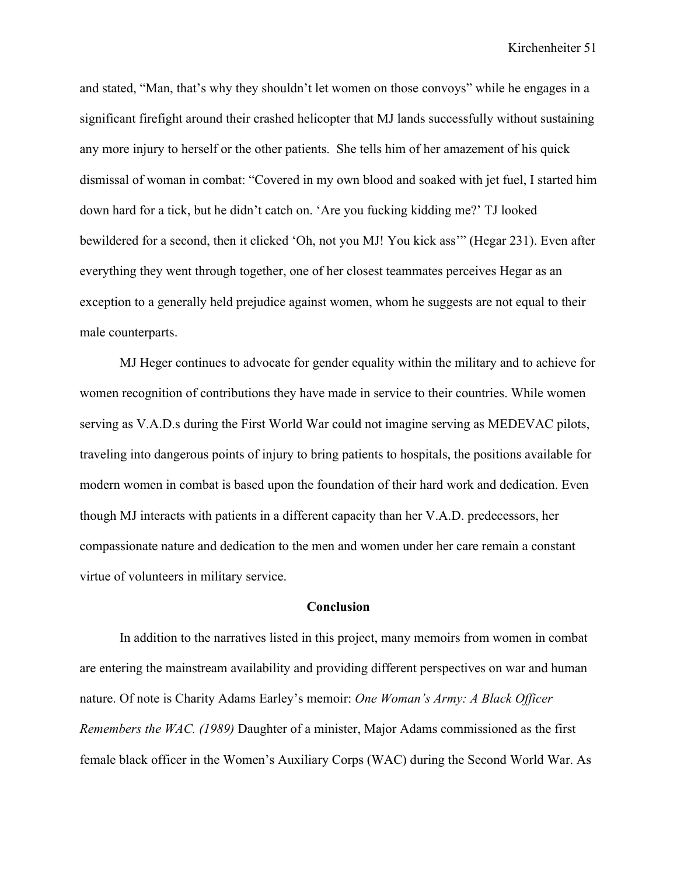and stated, "Man, that's why they shouldn't let women on those convoys" while he engages in a significant firefight around their crashed helicopter that MJ lands successfully without sustaining any more injury to herself or the other patients. She tells him of her amazement of his quick dismissal of woman in combat: "Covered in my own blood and soaked with jet fuel, I started him down hard for a tick, but he didn't catch on. 'Are you fucking kidding me?' TJ looked bewildered for a second, then it clicked 'Oh, not you MJ! You kick ass'" (Hegar 231). Even after everything they went through together, one of her closest teammates perceives Hegar as an exception to a generally held prejudice against women, whom he suggests are not equal to their male counterparts.

MJ Heger continues to advocate for gender equality within the military and to achieve for women recognition of contributions they have made in service to their countries. While women serving as V.A.D.s during the First World War could not imagine serving as MEDEVAC pilots, traveling into dangerous points of injury to bring patients to hospitals, the positions available for modern women in combat is based upon the foundation of their hard work and dedication. Even though MJ interacts with patients in a different capacity than her V.A.D. predecessors, her compassionate nature and dedication to the men and women under her care remain a constant virtue of volunteers in military service.

### **Conclusion**

In addition to the narratives listed in this project, many memoirs from women in combat are entering the mainstream availability and providing different perspectives on war and human nature. Of note is Charity Adams Earley's memoir: *One Woman's Army: A Black Officer Remembers the WAC. (1989)* Daughter of a minister, Major Adams commissioned as the first female black officer in the Women's Auxiliary Corps (WAC) during the Second World War. As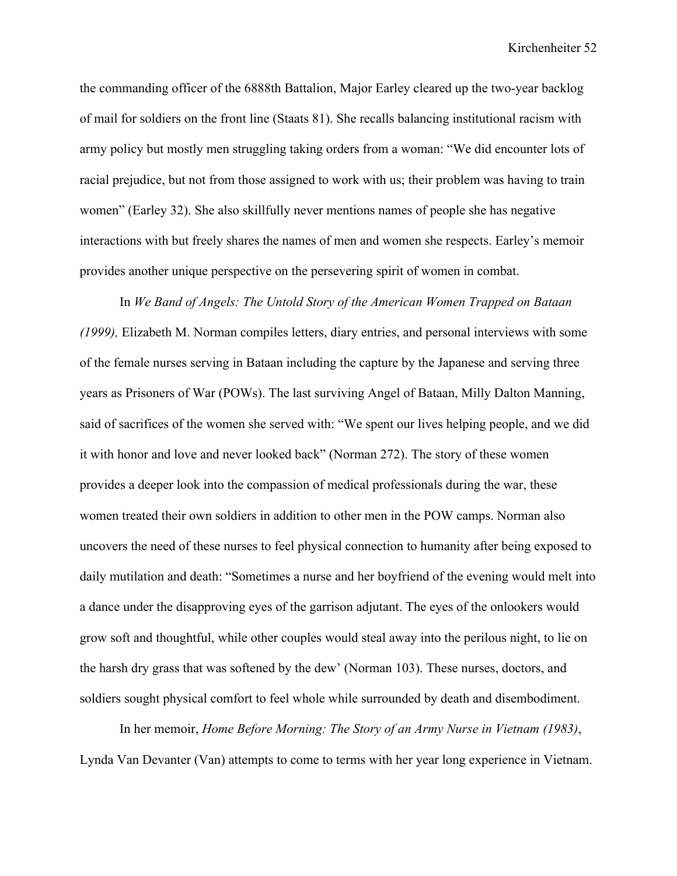the commanding officer of the 6888th Battalion, Major Earley cleared up the two-year backlog of mail for soldiers on the front line (Staats 81). She recalls balancing institutional racism with army policy but mostly men struggling taking orders from a woman: "We did encounter lots of racial prejudice, but not from those assigned to work with us; their problem was having to train women" (Earley 32). She also skillfully never mentions names of people she has negative interactions with but freely shares the names of men and women she respects. Earley's memoir provides another unique perspective on the persevering spirit of women in combat.

In *We Band of Angels: The Untold Story of the American Women Trapped on Bataan (1999),* Elizabeth M. Norman compiles letters, diary entries, and personal interviews with some of the female nurses serving in Bataan including the capture by the Japanese and serving three years as Prisoners of War (POWs). The last surviving Angel of Bataan, Milly Dalton Manning, said of sacrifices of the women she served with: "We spent our lives helping people, and we did it with honor and love and never looked back" (Norman 272). The story of these women provides a deeper look into the compassion of medical professionals during the war, these women treated their own soldiers in addition to other men in the POW camps. Norman also uncovers the need of these nurses to feel physical connection to humanity after being exposed to daily mutilation and death: "Sometimes a nurse and her boyfriend of the evening would melt into a dance under the disapproving eyes of the garrison adjutant. The eyes of the onlookers would grow soft and thoughtful, while other couples would steal away into the perilous night, to lie on the harsh dry grass that was softened by the dew' (Norman 103). These nurses, doctors, and soldiers sought physical comfort to feel whole while surrounded by death and disembodiment.

In her memoir, *Home Before Morning: The Story of an Army Nurse in Vietnam (1983)*, Lynda Van Devanter (Van) attempts to come to terms with her year long experience in Vietnam.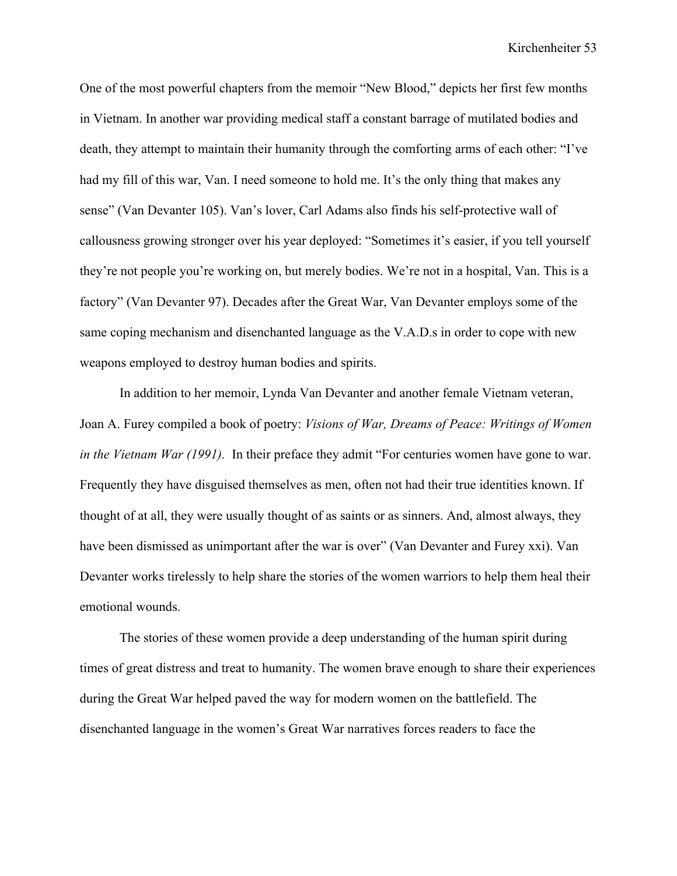One of the most powerful chapters from the memoir "New Blood," depicts her first few months in Vietnam. In another war providing medical staff a constant barrage of mutilated bodies and death, they attempt to maintain their humanity through the comforting arms of each other: "I've had my fill of this war, Van. I need someone to hold me. It's the only thing that makes any sense" (Van Devanter 105). Van's lover, Carl Adams also finds his self-protective wall of callousness growing stronger over his year deployed: "Sometimes it's easier, if you tell yourself they're not people you're working on, but merely bodies. We're not in a hospital, Van. This is a factory" (Van Devanter 97). Decades after the Great War, Van Devanter employs some of the same coping mechanism and disenchanted language as the V.A.D.s in order to cope with new weapons employed to destroy human bodies and spirits.

In addition to her memoir, Lynda Van Devanter and another female Vietnam veteran, Joan A. Furey compiled a book of poetry: *Visions of War, Dreams of Peace: Writings of Women in the Vietnam War (1991).* In their preface they admit "For centuries women have gone to war. Frequently they have disguised themselves as men, often not had their true identities known. If thought of at all, they were usually thought of as saints or as sinners. And, almost always, they have been dismissed as unimportant after the war is over" (Van Devanter and Furey xxi). Van Devanter works tirelessly to help share the stories of the women warriors to help them heal their emotional wounds.

The stories of these women provide a deep understanding of the human spirit during times of great distress and treat to humanity. The women brave enough to share their experiences during the Great War helped paved the way for modern women on the battlefield. The disenchanted language in the women's Great War narratives forces readers to face the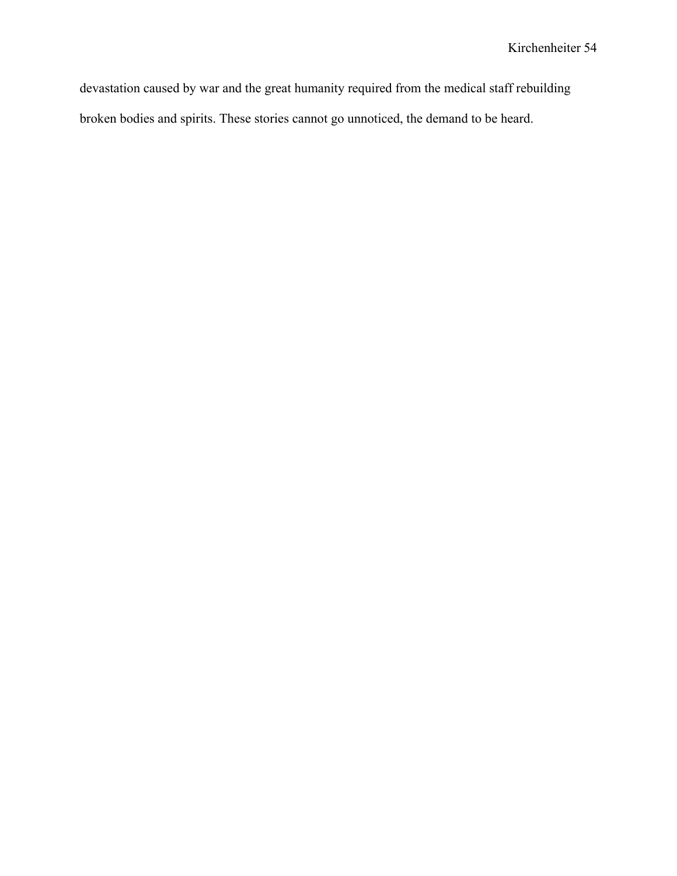devastation caused by war and the great humanity required from the medical staff rebuilding broken bodies and spirits. These stories cannot go unnoticed, the demand to be heard.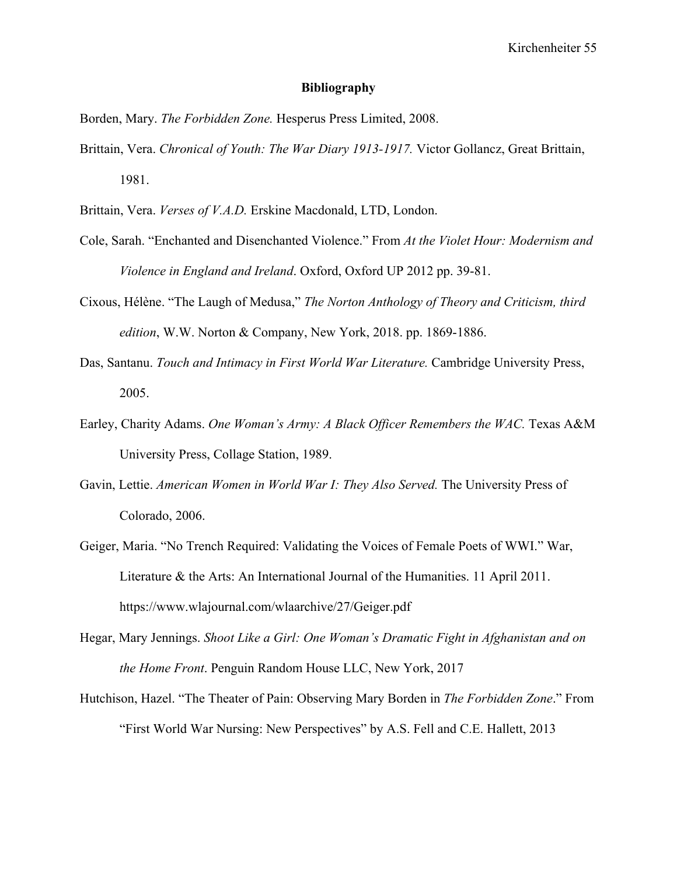### **Bibliography**

Borden, Mary. *The Forbidden Zone.* Hesperus Press Limited, 2008.

- Brittain, Vera. *Chronical of Youth: The War Diary 1913-1917.* Victor Gollancz, Great Brittain, 1981.
- Brittain, Vera. *Verses of V.A.D.* Erskine Macdonald, LTD, London.
- Cole, Sarah. "Enchanted and Disenchanted Violence." From *At the Violet Hour: Modernism and Violence in England and Ireland*. Oxford, Oxford UP 2012 pp. 39-81.
- Cixous, Hélène. "The Laugh of Medusa," *The Norton Anthology of Theory and Criticism, third edition*, W.W. Norton & Company, New York, 2018. pp. 1869-1886.
- Das, Santanu. *Touch and Intimacy in First World War Literature.* Cambridge University Press, 2005.
- Earley, Charity Adams. *One Woman's Army: A Black Officer Remembers the WAC.* Texas A&M University Press, Collage Station, 1989.
- Gavin, Lettie. *American Women in World War I: They Also Served*. The University Press of Colorado, 2006.
- Geiger, Maria. "No Trench Required: Validating the Voices of Female Poets of WWI." War, Literature & the Arts: An International Journal of the Humanities. 11 April 2011. https://www.wlajournal.com/wlaarchive/27/Geiger.pdf
- Hegar, Mary Jennings. *Shoot Like a Girl: One Woman's Dramatic Fight in Afghanistan and on the Home Front*. Penguin Random House LLC, New York, 2017
- Hutchison, Hazel. "The Theater of Pain: Observing Mary Borden in *The Forbidden Zone*." From "First World War Nursing: New Perspectives" by A.S. Fell and C.E. Hallett, 2013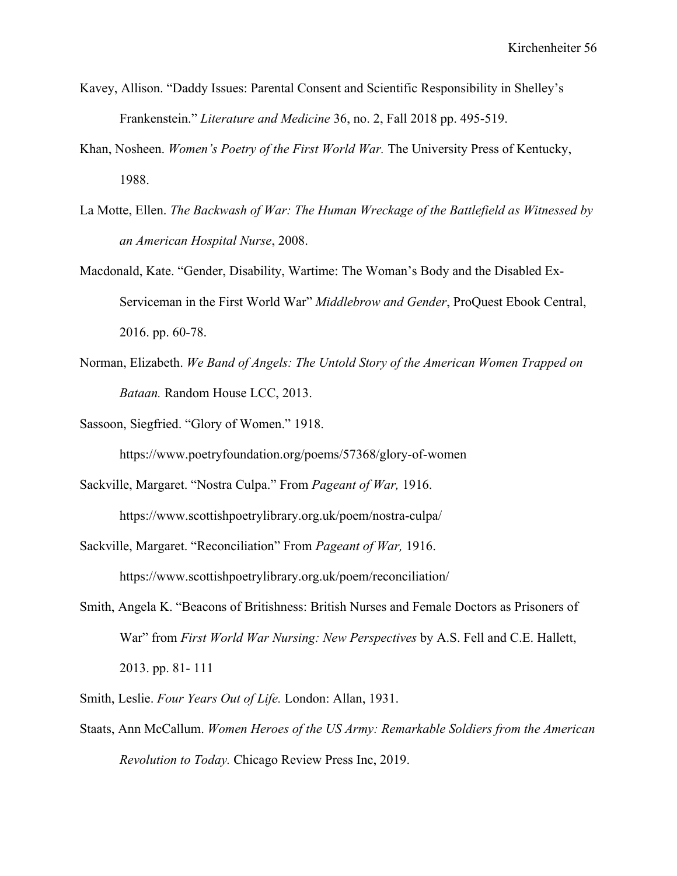- Kavey, Allison. "Daddy Issues: Parental Consent and Scientific Responsibility in Shelley's Frankenstein." *Literature and Medicine* 36, no. 2, Fall 2018 pp. 495-519.
- Khan, Nosheen. *Women's Poetry of the First World War.* The University Press of Kentucky, 1988.
- La Motte, Ellen. *The Backwash of War: The Human Wreckage of the Battlefield as Witnessed by an American Hospital Nurse*, 2008.
- Macdonald, Kate. "Gender, Disability, Wartime: The Woman's Body and the Disabled Ex-Serviceman in the First World War" *Middlebrow and Gender*, ProQuest Ebook Central, 2016. pp. 60-78.
- Norman, Elizabeth. *We Band of Angels: The Untold Story of the American Women Trapped on Bataan.* Random House LCC, 2013.
- Sassoon, Siegfried. "Glory of Women." 1918.

https://www.poetryfoundation.org/poems/57368/glory-of-women

Sackville, Margaret. "Nostra Culpa." From *Pageant of War,* 1916.

https://www.scottishpoetrylibrary.org.uk/poem/nostra-culpa/

Sackville, Margaret. "Reconciliation" From *Pageant of War,* 1916.

https://www.scottishpoetrylibrary.org.uk/poem/reconciliation/

- Smith, Angela K. "Beacons of Britishness: British Nurses and Female Doctors as Prisoners of War" from *First World War Nursing: New Perspectives* by A.S. Fell and C.E. Hallett, 2013. pp. 81- 111
- Smith, Leslie. *Four Years Out of Life.* London: Allan, 1931.
- Staats, Ann McCallum. *Women Heroes of the US Army: Remarkable Soldiers from the American Revolution to Today.* Chicago Review Press Inc, 2019.